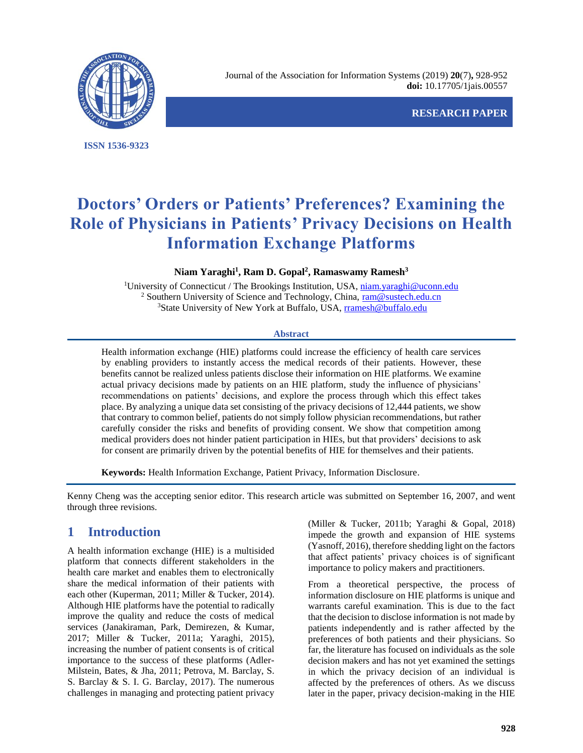

Journal of the Association for Information Systems (2019) **20**(7)**,** 928-952 **doi:** 10.17705/1jais.00557

#### **RESEARCH PAPER**

**ISSN 1536-9323**

# **Doctors' Orders or Patients' Preferences? Examining the Role of Physicians in Patients' Privacy Decisions on Health Information Exchange Platforms**

#### **Niam Yaraghi<sup>1</sup> , Ram D. Gopal<sup>2</sup> , Ramaswamy Ramesh<sup>3</sup>**

<sup>1</sup>University of Connecticut / The Brookings Institution, USA, [niam.yaraghi@uconn.edu](mailto:niam.yaraghi@uconn.edu) <sup>2</sup> Southern University of Science and Technology, China,  $\frac{ram@sustech.edu.cn}{ram@sustech.edu.cn}$ <sup>3</sup>State University of New York at Buffalo, USA, [rramesh@buffalo.edu](mailto:rramesh@buffalo.edu)

#### **Abstract**

Health information exchange (HIE) platforms could increase the efficiency of health care services by enabling providers to instantly access the medical records of their patients. However, these benefits cannot be realized unless patients disclose their information on HIE platforms. We examine actual privacy decisions made by patients on an HIE platform, study the influence of physicians' recommendations on patients' decisions, and explore the process through which this effect takes place. By analyzing a unique data set consisting of the privacy decisions of 12,444 patients, we show that contrary to common belief, patients do not simply follow physician recommendations, but rather carefully consider the risks and benefits of providing consent. We show that competition among medical providers does not hinder patient participation in HIEs, but that providers' decisions to ask for consent are primarily driven by the potential benefits of HIE for themselves and their patients.

**Keywords:** Health Information Exchange, Patient Privacy, Information Disclosure.

Kenny Cheng was the accepting senior editor. This research article was submitted on September 16, 2007, and went through three revisions.

## **1 Introduction**

A health information exchange (HIE) is a multisided platform that connects different stakeholders in the health care market and enables them to electronically share the medical information of their patients with each other (Kuperman, 2011; Miller & Tucker, 2014). Although HIE platforms have the potential to radically improve the quality and reduce the costs of medical services (Janakiraman, Park, Demirezen, & Kumar, 2017; Miller & Tucker, 2011a; Yaraghi, 2015), increasing the number of patient consents is of critical importance to the success of these platforms (Adler-Milstein, Bates, & Jha, 2011; Petrova, M. Barclay, S. S. Barclay & S. I. G. Barclay, 2017). The numerous challenges in managing and protecting patient privacy

(Miller & Tucker, 2011b; Yaraghi & Gopal, 2018) impede the growth and expansion of HIE systems (Yasnoff, 2016), therefore shedding light on the factors that affect patients' privacy choices is of significant importance to policy makers and practitioners.

From a theoretical perspective, the process of information disclosure on HIE platforms is unique and warrants careful examination. This is due to the fact that the decision to disclose information is not made by patients independently and is rather affected by the preferences of both patients and their physicians. So far, the literature has focused on individuals as the sole decision makers and has not yet examined the settings in which the privacy decision of an individual is affected by the preferences of others. As we discuss later in the paper, privacy decision-making in the HIE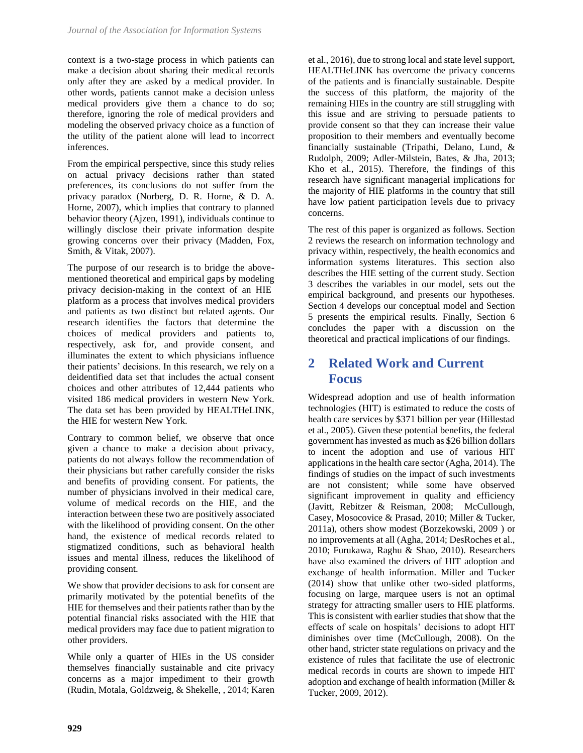context is a two-stage process in which patients can make a decision about sharing their medical records only after they are asked by a medical provider. In other words, patients cannot make a decision unless medical providers give them a chance to do so; therefore, ignoring the role of medical providers and modeling the observed privacy choice as a function of the utility of the patient alone will lead to incorrect inferences.

From the empirical perspective, since this study relies on actual privacy decisions rather than stated preferences, its conclusions do not suffer from the privacy paradox (Norberg, D. R. Horne, & D. A. Horne, 2007), which implies that contrary to planned behavior theory (Ajzen, 1991), individuals continue to willingly disclose their private information despite growing concerns over their privacy (Madden, Fox, Smith, & Vitak, 2007).

The purpose of our research is to bridge the abovementioned theoretical and empirical gaps by modeling privacy decision-making in the context of an HIE platform as a process that involves medical providers and patients as two distinct but related agents. Our research identifies the factors that determine the choices of medical providers and patients to, respectively, ask for, and provide consent, and illuminates the extent to which physicians influence their patients' decisions. In this research, we rely on a deidentified data set that includes the actual consent choices and other attributes of 12,444 patients who visited 186 medical providers in western New York. The data set has been provided by HEALTHeLINK, the HIE for western New York.

Contrary to common belief, we observe that once given a chance to make a decision about privacy, patients do not always follow the recommendation of their physicians but rather carefully consider the risks and benefits of providing consent. For patients, the number of physicians involved in their medical care, volume of medical records on the HIE, and the interaction between these two are positively associated with the likelihood of providing consent. On the other hand, the existence of medical records related to stigmatized conditions, such as behavioral health issues and mental illness, reduces the likelihood of providing consent.

We show that provider decisions to ask for consent are primarily motivated by the potential benefits of the HIE for themselves and their patients rather than by the potential financial risks associated with the HIE that medical providers may face due to patient migration to other providers.

While only a quarter of HIEs in the US consider themselves financially sustainable and cite privacy concerns as a major impediment to their growth (Rudin, Motala, Goldzweig, & Shekelle, , 2014; Karen et al., 2016), due to strong local and state level support, HEALTHeLINK has overcome the privacy concerns of the patients and is financially sustainable. Despite the success of this platform, the majority of the remaining HIEs in the country are still struggling with this issue and are striving to persuade patients to provide consent so that they can increase their value proposition to their members and eventually become financially sustainable (Tripathi, Delano, Lund, & Rudolph, 2009; Adler-Milstein, Bates, & Jha, 2013; Kho et al., 2015). Therefore, the findings of this research have significant managerial implications for the majority of HIE platforms in the country that still have low patient participation levels due to privacy concerns.

The rest of this paper is organized as follows. Section 2 reviews the research on information technology and privacy within, respectively, the health economics and information systems literatures. This section also describes the HIE setting of the current study. Section 3 describes the variables in our model, sets out the empirical background, and presents our hypotheses. Section 4 develops our conceptual model and Section 5 presents the empirical results. Finally, Section 6 concludes the paper with a discussion on the theoretical and practical implications of our findings.

## **2 Related Work and Current Focus**

Widespread adoption and use of health information technologies (HIT) is estimated to reduce the costs of health care services by \$371 billion per year (Hillestad et al., 2005). Given these potential benefits, the federal government has invested as much as \$26 billion dollars to incent the adoption and use of various HIT applications in the health care sector (Agha, 2014). The findings of studies on the impact of such investments are not consistent; while some have observed significant improvement in quality and efficiency (Javitt, Rebitzer & Reisman, 2008; McCullough, Casey, Mosocovice & Prasad, 2010; Miller & Tucker, 2011a), others show modest (Borzekowski, 2009 ) or no improvements at all (Agha, 2014; DesRoches et al., 2010; Furukawa, Raghu & Shao, 2010). Researchers have also examined the drivers of HIT adoption and exchange of health information. Miller and Tucker (2014) show that unlike other two-sided platforms, focusing on large, marquee users is not an optimal strategy for attracting smaller users to HIE platforms. This is consistent with earlier studies that show that the effects of scale on hospitals' decisions to adopt HIT diminishes over time (McCullough, 2008). On the other hand, stricter state regulations on privacy and the existence of rules that facilitate the use of electronic medical records in courts are shown to impede HIT adoption and exchange of health information (Miller & Tucker, 2009, 2012).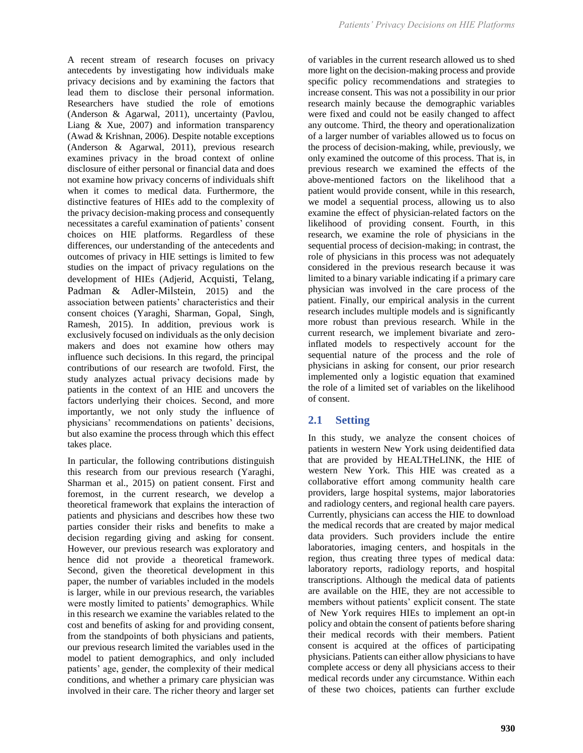A recent stream of research focuses on privacy antecedents by investigating how individuals make privacy decisions and by examining the factors that lead them to disclose their personal information. Researchers have studied the role of emotions (Anderson & Agarwal, 2011), uncertainty (Pavlou, Liang & Xue, 2007) and information transparency (Awad & Krishnan, 2006). Despite notable exceptions (Anderson & Agarwal, 2011), previous research examines privacy in the broad context of online disclosure of either personal or financial data and does not examine how privacy concerns of individuals shift when it comes to medical data. Furthermore, the distinctive features of HIEs add to the complexity of the privacy decision-making process and consequently necessitates a careful examination of patients' consent choices on HIE platforms. Regardless of these differences, our understanding of the antecedents and outcomes of privacy in HIE settings is limited to few studies on the impact of privacy regulations on the development of HIEs (Adjerid, Acquisti, Telang, Padman & Adler-Milstein, 2015) and the association between patients' characteristics and their consent choices (Yaraghi, Sharman, Gopal, Singh, Ramesh, 2015). In addition, previous work is exclusively focused on individuals as the only decision makers and does not examine how others may influence such decisions. In this regard, the principal contributions of our research are twofold. First, the study analyzes actual privacy decisions made by patients in the context of an HIE and uncovers the factors underlying their choices. Second, and more importantly, we not only study the influence of physicians' recommendations on patients' decisions, but also examine the process through which this effect takes place.

In particular, the following contributions distinguish this research from our previous research (Yaraghi, Sharman et al., 2015) on patient consent. First and foremost, in the current research, we develop a theoretical framework that explains the interaction of patients and physicians and describes how these two parties consider their risks and benefits to make a decision regarding giving and asking for consent. However, our previous research was exploratory and hence did not provide a theoretical framework. Second, given the theoretical development in this paper, the number of variables included in the models is larger, while in our previous research, the variables were mostly limited to patients' demographics. While in this research we examine the variables related to the cost and benefits of asking for and providing consent, from the standpoints of both physicians and patients, our previous research limited the variables used in the model to patient demographics, and only included patients' age, gender, the complexity of their medical conditions, and whether a primary care physician was involved in their care. The richer theory and larger set

of variables in the current research allowed us to shed more light on the decision-making process and provide specific policy recommendations and strategies to increase consent. This was not a possibility in our prior research mainly because the demographic variables were fixed and could not be easily changed to affect any outcome. Third, the theory and operationalization of a larger number of variables allowed us to focus on the process of decision-making, while, previously, we only examined the outcome of this process. That is, in previous research we examined the effects of the above-mentioned factors on the likelihood that a patient would provide consent, while in this research, we model a sequential process, allowing us to also examine the effect of physician-related factors on the likelihood of providing consent. Fourth, in this research, we examine the role of physicians in the sequential process of decision-making; in contrast, the role of physicians in this process was not adequately considered in the previous research because it was limited to a binary variable indicating if a primary care physician was involved in the care process of the patient. Finally, our empirical analysis in the current research includes multiple models and is significantly more robust than previous research. While in the current research, we implement bivariate and zeroinflated models to respectively account for the sequential nature of the process and the role of physicians in asking for consent, our prior research implemented only a logistic equation that examined the role of a limited set of variables on the likelihood of consent.

#### **2.1 Setting**

In this study, we analyze the consent choices of patients in western New York using deidentified data that are provided by HEALTHeLINK, the HIE of western New York. This HIE was created as a collaborative effort among community health care providers, large hospital systems, major laboratories and radiology centers, and regional health care payers. Currently, physicians can access the HIE to download the medical records that are created by major medical data providers. Such providers include the entire laboratories, imaging centers, and hospitals in the region, thus creating three types of medical data: laboratory reports, radiology reports, and hospital transcriptions. Although the medical data of patients are available on the HIE, they are not accessible to members without patients' explicit consent. The state of New York requires HIEs to implement an opt-in policy and obtain the consent of patients before sharing their medical records with their members. Patient consent is acquired at the offices of participating physicians. Patients can either allow physicians to have complete access or deny all physicians access to their medical records under any circumstance. Within each of these two choices, patients can further exclude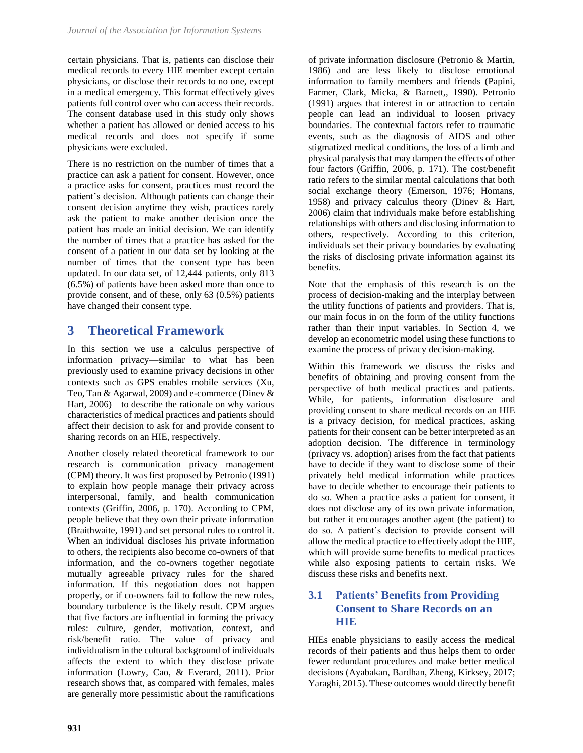certain physicians. That is, patients can disclose their medical records to every HIE member except certain physicians, or disclose their records to no one, except in a medical emergency. This format effectively gives patients full control over who can access their records. The consent database used in this study only shows whether a patient has allowed or denied access to his medical records and does not specify if some physicians were excluded.

There is no restriction on the number of times that a practice can ask a patient for consent. However, once a practice asks for consent, practices must record the patient's decision. Although patients can change their consent decision anytime they wish, practices rarely ask the patient to make another decision once the patient has made an initial decision. We can identify the number of times that a practice has asked for the consent of a patient in our data set by looking at the number of times that the consent type has been updated. In our data set, of 12,444 patients, only 813 (6.5%) of patients have been asked more than once to provide consent, and of these, only 63 (0.5%) patients have changed their consent type.

## **3 Theoretical Framework**

In this section we use a calculus perspective of information privacy—similar to what has been previously used to examine privacy decisions in other contexts such as GPS enables mobile services (Xu, Teo, Tan & Agarwal, 2009) and e-commerce (Dinev & Hart, 2006)—to describe the rationale on why various characteristics of medical practices and patients should affect their decision to ask for and provide consent to sharing records on an HIE, respectively.

Another closely related theoretical framework to our research is communication privacy management (CPM) theory. It was first proposed by Petronio (1991) to explain how people manage their privacy across interpersonal, family, and health communication contexts (Griffin, 2006, p. 170). According to CPM, people believe that they own their private information (Braithwaite, 1991) and set personal rules to control it. When an individual discloses his private information to others, the recipients also become co-owners of that information, and the co-owners together negotiate mutually agreeable privacy rules for the shared information. If this negotiation does not happen properly, or if co-owners fail to follow the new rules, boundary turbulence is the likely result. CPM argues that five factors are influential in forming the privacy rules: culture, gender, motivation, context, and risk/benefit ratio. The value of privacy and individualism in the cultural background of individuals affects the extent to which they disclose private information (Lowry, Cao, & Everard, 2011). Prior research shows that, as compared with females, males are generally more pessimistic about the ramifications

of private information disclosure (Petronio & Martin, 1986) and are less likely to disclose emotional information to family members and friends (Papini, Farmer, Clark, Micka, & Barnett,, 1990). Petronio (1991) argues that interest in or attraction to certain people can lead an individual to loosen privacy boundaries. The contextual factors refer to traumatic events, such as the diagnosis of AIDS and other stigmatized medical conditions, the loss of a limb and physical paralysis that may dampen the effects of other four factors (Griffin, 2006, p. 171). The cost/benefit ratio refers to the similar mental calculations that both social exchange theory (Emerson, 1976; Homans, 1958) and privacy calculus theory (Dinev & Hart, 2006) claim that individuals make before establishing relationships with others and disclosing information to others, respectively. According to this criterion, individuals set their privacy boundaries by evaluating the risks of disclosing private information against its benefits.

Note that the emphasis of this research is on the process of decision-making and the interplay between the utility functions of patients and providers. That is, our main focus in on the form of the utility functions rather than their input variables. In Section 4, we develop an econometric model using these functions to examine the process of privacy decision-making.

Within this framework we discuss the risks and benefits of obtaining and proving consent from the perspective of both medical practices and patients. While, for patients, information disclosure and providing consent to share medical records on an HIE is a privacy decision, for medical practices, asking patients for their consent can be better interpreted as an adoption decision. The difference in terminology (privacy vs. adoption) arises from the fact that patients have to decide if they want to disclose some of their privately held medical information while practices have to decide whether to encourage their patients to do so. When a practice asks a patient for consent, it does not disclose any of its own private information, but rather it encourages another agent (the patient) to do so. A patient's decision to provide consent will allow the medical practice to effectively adopt the HIE, which will provide some benefits to medical practices while also exposing patients to certain risks. We discuss these risks and benefits next.

## **3.1 Patients' Benefits from Providing Consent to Share Records on an HIE**

HIEs enable physicians to easily access the medical records of their patients and thus helps them to order fewer redundant procedures and make better medical decisions (Ayabakan, Bardhan, Zheng, Kirksey, 2017; Yaraghi, 2015). These outcomes would directly benefit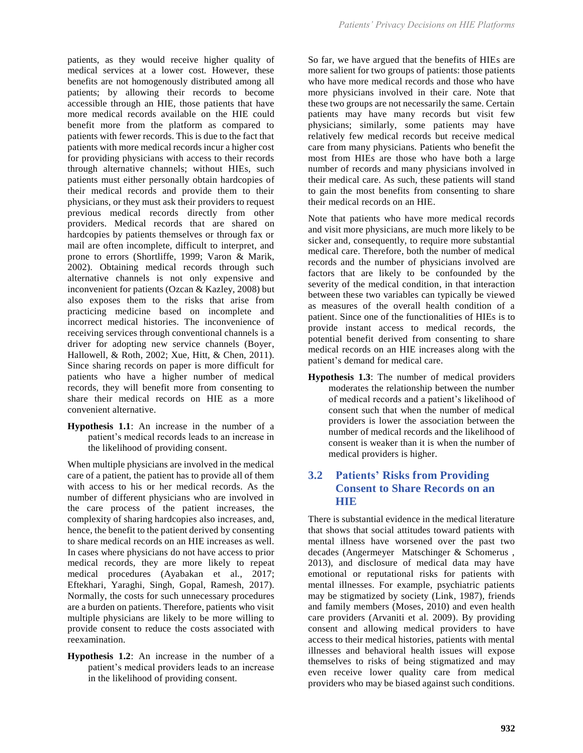patients, as they would receive higher quality of medical services at a lower cost. However, these benefits are not homogenously distributed among all patients; by allowing their records to become accessible through an HIE, those patients that have more medical records available on the HIE could benefit more from the platform as compared to patients with fewer records. This is due to the fact that patients with more medical records incur a higher cost for providing physicians with access to their records through alternative channels; without HIEs, such patients must either personally obtain hardcopies of their medical records and provide them to their physicians, or they must ask their providers to request previous medical records directly from other providers. Medical records that are shared on hardcopies by patients themselves or through fax or mail are often incomplete, difficult to interpret, and prone to errors (Shortliffe, 1999; Varon & Marik, 2002). Obtaining medical records through such alternative channels is not only expensive and inconvenient for patients (Ozcan & Kazley, 2008) but also exposes them to the risks that arise from practicing medicine based on incomplete and incorrect medical histories. The inconvenience of receiving services through conventional channels is a driver for adopting new service channels (Boyer, Hallowell, & Roth, 2002; Xue, Hitt, & Chen, 2011). Since sharing records on paper is more difficult for patients who have a higher number of medical records, they will benefit more from consenting to share their medical records on HIE as a more convenient alternative.

**Hypothesis 1.1**: An increase in the number of a patient's medical records leads to an increase in the likelihood of providing consent.

When multiple physicians are involved in the medical care of a patient, the patient has to provide all of them with access to his or her medical records. As the number of different physicians who are involved in the care process of the patient increases, the complexity of sharing hardcopies also increases, and, hence, the benefit to the patient derived by consenting to share medical records on an HIE increases as well. In cases where physicians do not have access to prior medical records, they are more likely to repeat medical procedures (Ayabakan et al., 2017; Eftekhari, Yaraghi, Singh, Gopal, Ramesh, 2017). Normally, the costs for such unnecessary procedures are a burden on patients. Therefore, patients who visit multiple physicians are likely to be more willing to provide consent to reduce the costs associated with reexamination.

**Hypothesis 1.2**: An increase in the number of a patient's medical providers leads to an increase in the likelihood of providing consent.

So far, we have argued that the benefits of HIEs are more salient for two groups of patients: those patients who have more medical records and those who have more physicians involved in their care. Note that these two groups are not necessarily the same. Certain patients may have many records but visit few physicians; similarly, some patients may have relatively few medical records but receive medical care from many physicians. Patients who benefit the most from HIEs are those who have both a large number of records and many physicians involved in their medical care. As such, these patients will stand to gain the most benefits from consenting to share their medical records on an HIE.

Note that patients who have more medical records and visit more physicians, are much more likely to be sicker and, consequently, to require more substantial medical care. Therefore, both the number of medical records and the number of physicians involved are factors that are likely to be confounded by the severity of the medical condition, in that interaction between these two variables can typically be viewed as measures of the overall health condition of a patient. Since one of the functionalities of HIEs is to provide instant access to medical records, the potential benefit derived from consenting to share medical records on an HIE increases along with the patient's demand for medical care.

**Hypothesis 1.3**: The number of medical providers moderates the relationship between the number of medical records and a patient's likelihood of consent such that when the number of medical providers is lower the association between the number of medical records and the likelihood of consent is weaker than it is when the number of medical providers is higher.

### **3.2 Patients' Risks from Providing Consent to Share Records on an HIE**

There is substantial evidence in the medical literature that shows that social attitudes toward patients with mental illness have worsened over the past two decades (Angermeyer Matschinger & Schomerus , 2013), and disclosure of medical data may have emotional or reputational risks for patients with mental illnesses. For example, psychiatric patients may be stigmatized by society (Link, 1987), friends and family members (Moses, 2010) and even health care providers (Arvaniti et al. 2009). By providing consent and allowing medical providers to have access to their medical histories, patients with mental illnesses and behavioral health issues will expose themselves to risks of being stigmatized and may even receive lower quality care from medical providers who may be biased against such conditions.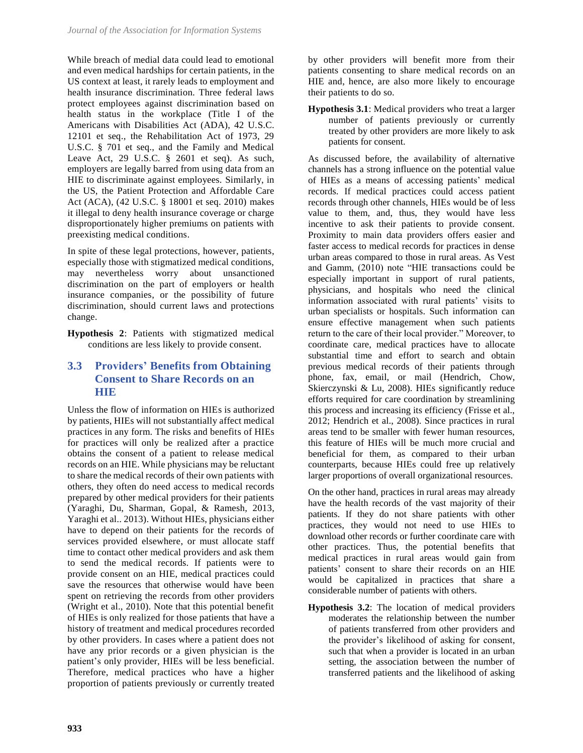While breach of medial data could lead to emotional and even medical hardships for certain patients, in the US context at least, it rarely leads to employment and health insurance discrimination. Three federal laws protect employees against discrimination based on health status in the workplace (Title I of the Americans with Disabilities Act (ADA), 42 U.S.C. 12101 et seq., the Rehabilitation Act of 1973, 29 U.S.C. § 701 et seq., and the Family and Medical Leave Act, 29 U.S.C. § 2601 et seq). As such, employers are legally barred from using data from an HIE to discriminate against employees. Similarly, in the US, the Patient Protection and Affordable Care Act (ACA), (42 U.S.C. § 18001 et seq. 2010) makes it illegal to deny health insurance coverage or charge disproportionately higher premiums on patients with preexisting medical conditions.

In spite of these legal protections, however, patients, especially those with stigmatized medical conditions, may nevertheless worry about unsanctioned discrimination on the part of employers or health insurance companies, or the possibility of future discrimination, should current laws and protections change.

**Hypothesis 2**: Patients with stigmatized medical conditions are less likely to provide consent.

## **3.3 Providers' Benefits from Obtaining Consent to Share Records on an HIE**

Unless the flow of information on HIEs is authorized by patients, HIEs will not substantially affect medical practices in any form. The risks and benefits of HIEs for practices will only be realized after a practice obtains the consent of a patient to release medical records on an HIE. While physicians may be reluctant to share the medical records of their own patients with others, they often do need access to medical records prepared by other medical providers for their patients (Yaraghi, Du, Sharman, Gopal, & Ramesh, 2013, Yaraghi et al.. 2013). Without HIEs, physicians either have to depend on their patients for the records of services provided elsewhere, or must allocate staff time to contact other medical providers and ask them to send the medical records. If patients were to provide consent on an HIE, medical practices could save the resources that otherwise would have been spent on retrieving the records from other providers (Wright et al., 2010). Note that this potential benefit of HIEs is only realized for those patients that have a history of treatment and medical procedures recorded by other providers. In cases where a patient does not have any prior records or a given physician is the patient's only provider, HIEs will be less beneficial. Therefore, medical practices who have a higher proportion of patients previously or currently treated

by other providers will benefit more from their patients consenting to share medical records on an HIE and, hence, are also more likely to encourage their patients to do so.

**Hypothesis 3.1**: Medical providers who treat a larger number of patients previously or currently treated by other providers are more likely to ask patients for consent.

As discussed before, the availability of alternative channels has a strong influence on the potential value of HIEs as a means of accessing patients' medical records. If medical practices could access patient records through other channels, HIEs would be of less value to them, and, thus, they would have less incentive to ask their patients to provide consent. Proximity to main data providers offers easier and faster access to medical records for practices in dense urban areas compared to those in rural areas. As Vest and Gamm, (2010) note "HIE transactions could be especially important in support of rural patients, physicians, and hospitals who need the clinical information associated with rural patients' visits to urban specialists or hospitals. Such information can ensure effective management when such patients return to the care of their local provider." Moreover, to coordinate care, medical practices have to allocate substantial time and effort to search and obtain previous medical records of their patients through phone, fax, email, or mail (Hendrich, Chow, Skierczynski & Lu, 2008). HIEs significantly reduce efforts required for care coordination by streamlining this process and increasing its efficiency (Frisse et al., 2012; Hendrich et al., 2008). Since practices in rural areas tend to be smaller with fewer human resources, this feature of HIEs will be much more crucial and beneficial for them, as compared to their urban counterparts, because HIEs could free up relatively larger proportions of overall organizational resources.

On the other hand, practices in rural areas may already have the health records of the vast majority of their patients. If they do not share patients with other practices, they would not need to use HIEs to download other records or further coordinate care with other practices. Thus, the potential benefits that medical practices in rural areas would gain from patients' consent to share their records on an HIE would be capitalized in practices that share a considerable number of patients with others.

**Hypothesis 3.2**: The location of medical providers moderates the relationship between the number of patients transferred from other providers and the provider's likelihood of asking for consent, such that when a provider is located in an urban setting, the association between the number of transferred patients and the likelihood of asking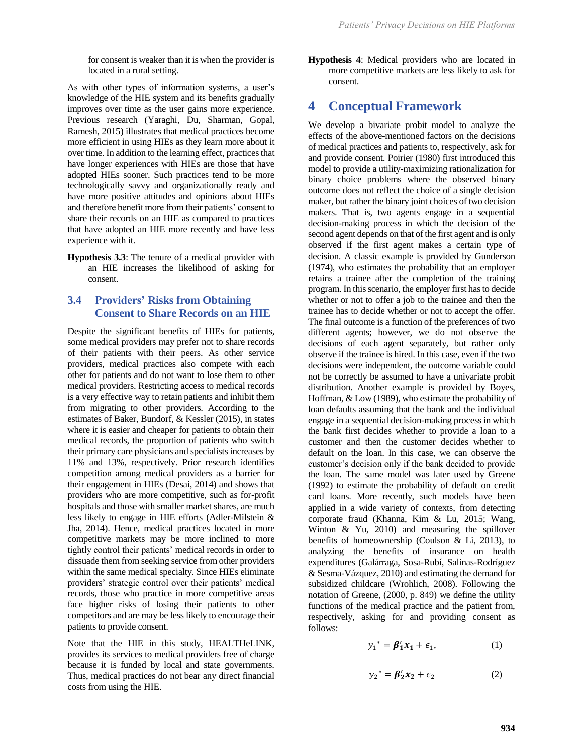for consent is weaker than it is when the provider is located in a rural setting.

As with other types of information systems, a user's knowledge of the HIE system and its benefits gradually improves over time as the user gains more experience. Previous research (Yaraghi, Du, Sharman, Gopal, Ramesh, 2015) illustrates that medical practices become more efficient in using HIEs as they learn more about it over time. In addition to the learning effect, practices that have longer experiences with HIEs are those that have adopted HIEs sooner. Such practices tend to be more technologically savvy and organizationally ready and have more positive attitudes and opinions about HIEs and therefore benefit more from their patients' consent to share their records on an HIE as compared to practices that have adopted an HIE more recently and have less experience with it.

**Hypothesis 3.3**: The tenure of a medical provider with an HIE increases the likelihood of asking for consent.

#### **3.4 Providers' Risks from Obtaining Consent to Share Records on an HIE**

Despite the significant benefits of HIEs for patients, some medical providers may prefer not to share records of their patients with their peers. As other service providers, medical practices also compete with each other for patients and do not want to lose them to other medical providers. Restricting access to medical records is a very effective way to retain patients and inhibit them from migrating to other providers. According to the estimates of Baker, Bundorf, & Kessler (2015), in states where it is easier and cheaper for patients to obtain their medical records, the proportion of patients who switch their primary care physicians and specialists increases by 11% and 13%, respectively. Prior research identifies competition among medical providers as a barrier for their engagement in HIEs (Desai, 2014) and shows that providers who are more competitive, such as for-profit hospitals and those with smaller market shares, are much less likely to engage in HIE efforts (Adler-Milstein & Jha, 2014). Hence, medical practices located in more competitive markets may be more inclined to more tightly control their patients' medical records in order to dissuade them from seeking service from other providers within the same medical specialty. Since HIEs eliminate providers' strategic control over their patients' medical records, those who practice in more competitive areas face higher risks of losing their patients to other competitors and are may be less likely to encourage their patients to provide consent.

Note that the HIE in this study, HEALTHeLINK, provides its services to medical providers free of charge because it is funded by local and state governments. Thus, medical practices do not bear any direct financial costs from using the HIE.

**Hypothesis 4**: Medical providers who are located in more competitive markets are less likely to ask for consent.

## **4 Conceptual Framework**

We develop a bivariate probit model to analyze the effects of the above-mentioned factors on the decisions of medical practices and patients to, respectively, ask for and provide consent. Poirier (1980) first introduced this model to provide a utility-maximizing rationalization for binary choice problems where the observed binary outcome does not reflect the choice of a single decision maker, but rather the binary joint choices of two decision makers. That is, two agents engage in a sequential decision-making process in which the decision of the second agent depends on that of the first agent and is only observed if the first agent makes a certain type of decision. A classic example is provided by Gunderson (1974), who estimates the probability that an employer retains a trainee after the completion of the training program. In this scenario, the employer first has to decide whether or not to offer a job to the trainee and then the trainee has to decide whether or not to accept the offer. The final outcome is a function of the preferences of two different agents; however, we do not observe the decisions of each agent separately, but rather only observe if the trainee is hired. In this case, even if the two decisions were independent, the outcome variable could not be correctly be assumed to have a univariate probit distribution. Another example is provided by Boyes, Hoffman, & Low (1989), who estimate the probability of loan defaults assuming that the bank and the individual engage in a sequential decision-making process in which the bank first decides whether to provide a loan to a customer and then the customer decides whether to default on the loan. In this case, we can observe the customer's decision only if the bank decided to provide the loan. The same model was later used by Greene (1992) to estimate the probability of default on credit card loans. More recently, such models have been applied in a wide variety of contexts, from detecting corporate fraud (Khanna, Kim & Lu, 2015; Wang, Winton & Yu, 2010) and measuring the spillover benefits of homeownership (Coulson & Li, 2013), to analyzing the benefits of insurance on health expenditures (Galárraga, Sosa-Rubí, Salinas-Rodríguez & Sesma-Vázquez, 2010) and estimating the demand for subsidized childcare (Wrohlich, 2008). Following the notation of Greene, (2000, p. 849) we define the utility functions of the medical practice and the patient from, respectively, asking for and providing consent as follows:

$$
y_1^* = \beta_1' x_1 + \epsilon_1, \tag{1}
$$

$$
y_2^* = \beta'_2 x_2 + \epsilon_2 \tag{2}
$$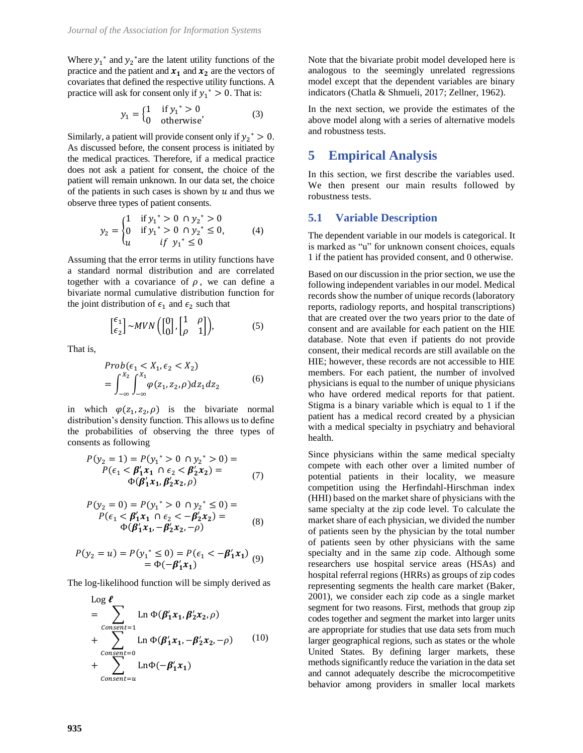Where  $y_1^*$  and  $y_2^*$  are the latent utility functions of the practice and the patient and  $x_1$  and  $x_2$  are the vectors of covariates that defined the respective utility functions. A practice will ask for consent only if  $y_1^* > 0$ . That is:

$$
y_1 = \begin{cases} 1 & \text{if } y_1^* > 0 \\ 0 & \text{otherwise} \end{cases}
$$
 (3)

Similarly, a patient will provide consent only if  $y_2^* > 0$ . As discussed before, the consent process is initiated by the medical practices. Therefore, if a medical practice does not ask a patient for consent, the choice of the patient will remain unknown. In our data set, the choice of the patients in such cases is shown by  $u$  and thus we observe three types of patient consents.

$$
y_2 = \begin{cases} 1 & \text{if } y_1^* > 0 \cap y_2^* > 0 \\ 0 & \text{if } y_1^* > 0 \cap y_2^* \le 0, \\ u & \text{if } y_1^* \le 0 \end{cases}
$$
 (4)

Assuming that the error terms in utility functions have a standard normal distribution and are correlated together with a covariance of  $\rho$ , we can define a bivariate normal cumulative distribution function for the joint distribution of  $\epsilon_1$  and  $\epsilon_2$  such that

$$
\begin{bmatrix} \epsilon_1 \\ \epsilon_2 \end{bmatrix} \sim MVN \begin{pmatrix} \begin{bmatrix} 0 \\ 0 \end{bmatrix}, \begin{bmatrix} 1 & \rho \\ \rho & 1 \end{bmatrix} \end{pmatrix}, \tag{5}
$$

That is,

$$
Prob(\epsilon_1 < X_1, \epsilon_2 < X_2) \\
= \int_{-\infty}^{X_2} \int_{-\infty}^{X_1} \varphi(z_1, z_2, \rho) dz_1 dz_2\n\tag{6}
$$

in which  $\varphi(z_1, z_2, \rho)$  is the bivariate normal distribution's density function. This allows us to define the probabilities of observing the three types of consents as following

$$
P(y_2 = 1) = P(y_1^* > 0 \cap y_2^* > 0) =
$$
  
\n
$$
P(\epsilon_1 < \beta'_1 x_1 \cap \epsilon_2 < \beta'_2 x_2) =
$$
  
\n
$$
\Phi(\beta'_1 x_1, \beta'_2 x_2, \rho)
$$
\n(7)

$$
P(y_2 = 0) = P(y_1^* > 0 \cap y_2^* \le 0) =
$$
  
\n
$$
P(\epsilon_1 < \beta'_1 x_1 \cap \epsilon_2 < -\beta'_2 x_2) =
$$
  
\n
$$
\Phi(\beta'_1 x_1, -\beta'_2 x_2, -\rho)
$$
\n(8)

$$
P(y_2 = u) = P(y_1^* \le 0) = P(\epsilon_1 < -\beta'_1 x_1) = \Phi(-\beta'_1 x_1)
$$
 (9)

The log-likelihood function will be simply derived as

$$
\begin{aligned}\n\text{Log } \ell \\
&= \sum_{\text{Consent} = 1} \text{Ln } \Phi(\beta_1' x_1, \beta_2' x_2, \rho) \\
&+ \sum_{\text{consent} = 0} \text{Ln } \Phi(\beta_1' x_1, -\beta_2' x_2, -\rho) \\
&+ \sum_{\text{consent} = u} \text{Ln } \Phi(-\beta_1' x_1)\n\end{aligned} \tag{10}
$$

Note that the bivariate probit model developed here is analogous to the seemingly unrelated regressions model except that the dependent variables are binary indicators (Chatla & Shmueli, 2017; Zellner, 1962).

In the next section, we provide the estimates of the above model along with a series of alternative models and robustness tests.

## **5 Empirical Analysis**

In this section, we first describe the variables used. We then present our main results followed by robustness tests.

#### **5.1 Variable Description**

The dependent variable in our models is categorical. It is marked as "u" for unknown consent choices, equals 1 if the patient has provided consent, and 0 otherwise.

Based on our discussion in the prior section, we use the following independent variables in our model. Medical records show the number of unique records (laboratory reports, radiology reports, and hospital transcriptions) that are created over the two years prior to the date of consent and are available for each patient on the HIE database. Note that even if patients do not provide consent, their medical records are still available on the HIE; however, these records are not accessible to HIE members. For each patient, the number of involved physicians is equal to the number of unique physicians who have ordered medical reports for that patient. Stigma is a binary variable which is equal to 1 if the patient has a medical record created by a physician with a medical specialty in psychiatry and behavioral health.

Since physicians within the same medical specialty compete with each other over a limited number of potential patients in their locality, we measure competition using the Herfindahl-Hirschman index (HHI) based on the market share of physicians with the same specialty at the zip code level. To calculate the market share of each physician, we divided the number of patients seen by the physician by the total number of patients seen by other physicians with the same specialty and in the same zip code. Although some researchers use hospital service areas (HSAs) and hospital referral regions (HRRs) as groups of zip codes representing segments the health care market (Baker, 2001), we consider each zip code as a single market segment for two reasons. First, methods that group zip codes together and segment the market into larger units are appropriate for studies that use data sets from much larger geographical regions, such as states or the whole United States. By defining larger markets, these methods significantly reduce the variation in the data set and cannot adequately describe the microcompetitive behavior among providers in smaller local markets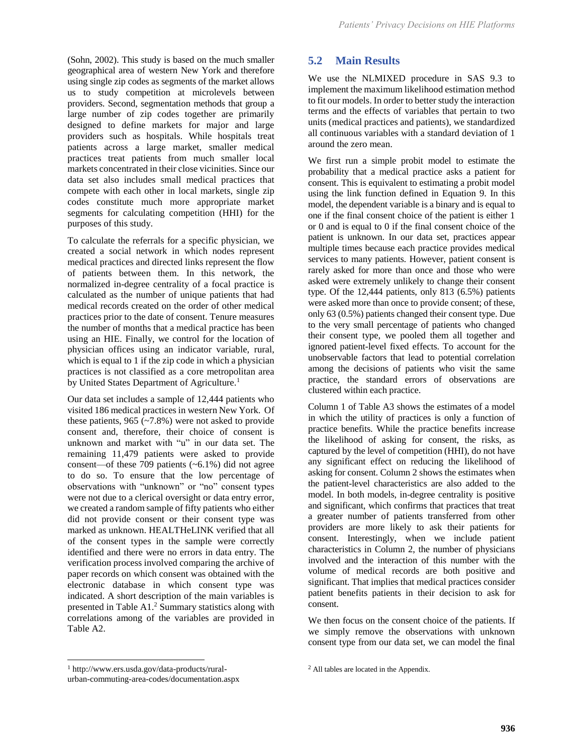(Sohn, 2002). This study is based on the much smaller geographical area of western New York and therefore using single zip codes as segments of the market allows us to study competition at microlevels between providers. Second, segmentation methods that group a large number of zip codes together are primarily designed to define markets for major and large providers such as hospitals. While hospitals treat patients across a large market, smaller medical practices treat patients from much smaller local markets concentrated in their close vicinities. Since our data set also includes small medical practices that compete with each other in local markets, single zip codes constitute much more appropriate market segments for calculating competition (HHI) for the purposes of this study.

To calculate the referrals for a specific physician, we created a social network in which nodes represent medical practices and directed links represent the flow of patients between them. In this network, the normalized in-degree centrality of a focal practice is calculated as the number of unique patients that had medical records created on the order of other medical practices prior to the date of consent. Tenure measures the number of months that a medical practice has been using an HIE. Finally, we control for the location of physician offices using an indicator variable, rural, which is equal to 1 if the zip code in which a physician practices is not classified as a core metropolitan area by United States Department of Agriculture.<sup>1</sup>

Our data set includes a sample of 12,444 patients who visited 186 medical practices in western New York. Of these patients, 965 (~7.8%) were not asked to provide consent and, therefore, their choice of consent is unknown and market with "u" in our data set. The remaining 11,479 patients were asked to provide consent—of these 709 patients (~6.1%) did not agree to do so. To ensure that the low percentage of observations with "unknown" or "no" consent types were not due to a clerical oversight or data entry error, we created a random sample of fifty patients who either did not provide consent or their consent type was marked as unknown. HEALTHeLINK verified that all of the consent types in the sample were correctly identified and there were no errors in data entry. The verification process involved comparing the archive of paper records on which consent was obtained with the electronic database in which consent type was indicated. A short description of the main variables is presented in Table A1.<sup>2</sup> Summary statistics along with correlations among of the variables are provided in Table A2.

#### **5.2 Main Results**

We use the NLMIXED procedure in SAS 9.3 to implement the maximum likelihood estimation method to fit our models. In order to better study the interaction terms and the effects of variables that pertain to two units (medical practices and patients), we standardized all continuous variables with a standard deviation of 1 around the zero mean.

We first run a simple probit model to estimate the probability that a medical practice asks a patient for consent. This is equivalent to estimating a probit model using the link function defined in Equation 9. In this model, the dependent variable is a binary and is equal to one if the final consent choice of the patient is either 1 or 0 and is equal to 0 if the final consent choice of the patient is unknown. In our data set, practices appear multiple times because each practice provides medical services to many patients. However, patient consent is rarely asked for more than once and those who were asked were extremely unlikely to change their consent type. Of the 12,444 patients, only 813 (6.5%) patients were asked more than once to provide consent; of these, only 63 (0.5%) patients changed their consent type. Due to the very small percentage of patients who changed their consent type, we pooled them all together and ignored patient-level fixed effects. To account for the unobservable factors that lead to potential correlation among the decisions of patients who visit the same practice, the standard errors of observations are clustered within each practice.

Column 1 of Table A3 shows the estimates of a model in which the utility of practices is only a function of practice benefits. While the practice benefits increase the likelihood of asking for consent, the risks, as captured by the level of competition (HHI), do not have any significant effect on reducing the likelihood of asking for consent. Column 2 shows the estimates when the patient-level characteristics are also added to the model. In both models, in-degree centrality is positive and significant, which confirms that practices that treat a greater number of patients transferred from other providers are more likely to ask their patients for consent. Interestingly, when we include patient characteristics in Column 2, the number of physicians involved and the interaction of this number with the volume of medical records are both positive and significant. That implies that medical practices consider patient benefits patients in their decision to ask for consent.

We then focus on the consent choice of the patients. If we simply remove the observations with unknown consent type from our data set, we can model the final

 $\overline{a}$ 

<sup>1</sup> http://www.ers.usda.gov/data-products/ruralurban-commuting-area-codes/documentation.aspx

<sup>2</sup> All tables are located in the Appendix.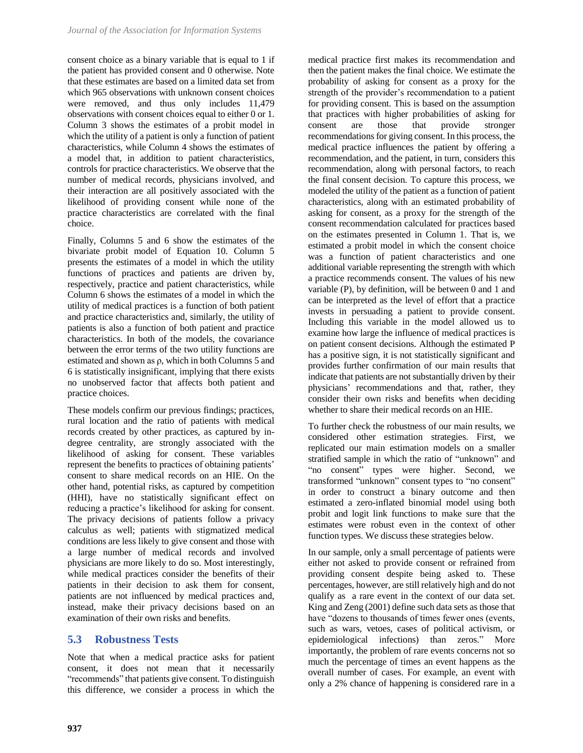consent choice as a binary variable that is equal to 1 if the patient has provided consent and 0 otherwise. Note that these estimates are based on a limited data set from which 965 observations with unknown consent choices were removed, and thus only includes 11,479 observations with consent choices equal to either 0 or 1. Column 3 shows the estimates of a probit model in which the utility of a patient is only a function of patient characteristics, while Column 4 shows the estimates of a model that, in addition to patient characteristics, controls for practice characteristics. We observe that the number of medical records, physicians involved, and their interaction are all positively associated with the likelihood of providing consent while none of the practice characteristics are correlated with the final choice.

Finally, Columns 5 and 6 show the estimates of the bivariate probit model of Equation 10. Column 5 presents the estimates of a model in which the utility functions of practices and patients are driven by, respectively, practice and patient characteristics, while Column 6 shows the estimates of a model in which the utility of medical practices is a function of both patient and practice characteristics and, similarly, the utility of patients is also a function of both patient and practice characteristics. In both of the models, the covariance between the error terms of the two utility functions are estimated and shown as ρ, which in both Columns 5 and 6 is statistically insignificant, implying that there exists no unobserved factor that affects both patient and practice choices.

These models confirm our previous findings; practices, rural location and the ratio of patients with medical records created by other practices, as captured by indegree centrality, are strongly associated with the likelihood of asking for consent. These variables represent the benefits to practices of obtaining patients' consent to share medical records on an HIE. On the other hand, potential risks, as captured by competition (HHI), have no statistically significant effect on reducing a practice's likelihood for asking for consent. The privacy decisions of patients follow a privacy calculus as well; patients with stigmatized medical conditions are less likely to give consent and those with a large number of medical records and involved physicians are more likely to do so. Most interestingly, while medical practices consider the benefits of their patients in their decision to ask them for consent, patients are not influenced by medical practices and, instead, make their privacy decisions based on an examination of their own risks and benefits.

#### **5.3 Robustness Tests**

Note that when a medical practice asks for patient consent, it does not mean that it necessarily "recommends" that patients give consent. To distinguish this difference, we consider a process in which the medical practice first makes its recommendation and then the patient makes the final choice. We estimate the probability of asking for consent as a proxy for the strength of the provider's recommendation to a patient for providing consent. This is based on the assumption that practices with higher probabilities of asking for consent are those that provide stronger recommendations for giving consent. In this process, the medical practice influences the patient by offering a recommendation, and the patient, in turn, considers this recommendation, along with personal factors, to reach the final consent decision. To capture this process, we modeled the utility of the patient as a function of patient characteristics, along with an estimated probability of asking for consent, as a proxy for the strength of the consent recommendation calculated for practices based on the estimates presented in Column 1. That is, we estimated a probit model in which the consent choice was a function of patient characteristics and one additional variable representing the strength with which a practice recommends consent. The values of his new variable (P), by definition, will be between 0 and 1 and can be interpreted as the level of effort that a practice invests in persuading a patient to provide consent. Including this variable in the model allowed us to examine how large the influence of medical practices is on patient consent decisions. Although the estimated P has a positive sign, it is not statistically significant and provides further confirmation of our main results that indicate that patients are not substantially driven by their physicians' recommendations and that, rather, they consider their own risks and benefits when deciding whether to share their medical records on an HIE.

To further check the robustness of our main results, we considered other estimation strategies. First, we replicated our main estimation models on a smaller stratified sample in which the ratio of "unknown" and "no consent" types were higher. Second, we transformed "unknown" consent types to "no consent" in order to construct a binary outcome and then estimated a zero-inflated binomial model using both probit and logit link functions to make sure that the estimates were robust even in the context of other function types. We discuss these strategies below.

In our sample, only a small percentage of patients were either not asked to provide consent or refrained from providing consent despite being asked to. These percentages, however, are still relatively high and do not qualify as a rare event in the context of our data set. King and Zeng (2001) define such data sets as those that have "dozens to thousands of times fewer ones (events, such as wars, vetoes, cases of political activism, or epidemiological infections) than zeros." More importantly, the problem of rare events concerns not so much the percentage of times an event happens as the overall number of cases. For example, an event with only a 2% chance of happening is considered rare in a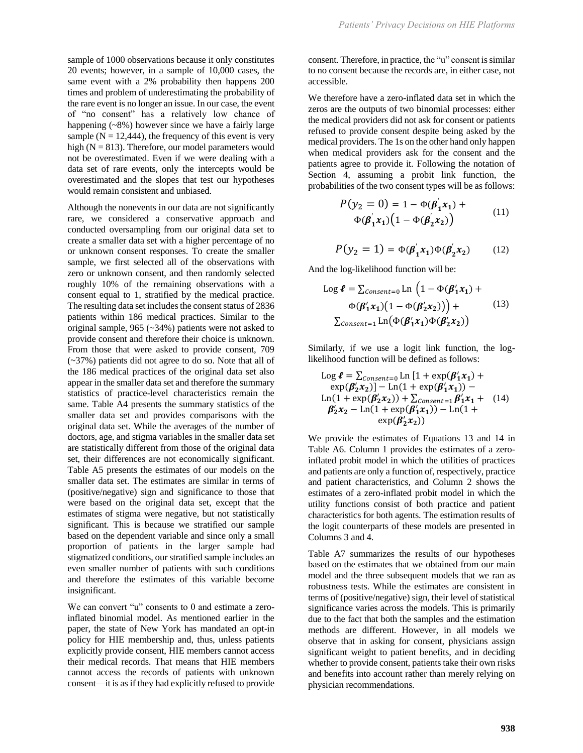sample of 1000 observations because it only constitutes 20 events; however, in a sample of 10,000 cases, the same event with a 2% probability then happens 200 times and problem of underestimating the probability of the rare event is no longer an issue. In our case, the event of "no consent" has a relatively low chance of happening (~8%) however since we have a fairly large sample ( $N = 12,444$ ), the frequency of this event is very high ( $N = 813$ ). Therefore, our model parameters would not be overestimated. Even if we were dealing with a data set of rare events, only the intercepts would be overestimated and the slopes that test our hypotheses would remain consistent and unbiased.

Although the nonevents in our data are not significantly rare, we considered a conservative approach and conducted oversampling from our original data set to create a smaller data set with a higher percentage of no or unknown consent responses. To create the smaller sample, we first selected all of the observations with zero or unknown consent, and then randomly selected roughly 10% of the remaining observations with a consent equal to 1, stratified by the medical practice. The resulting data set includes the consent status of 2836 patients within 186 medical practices. Similar to the original sample, 965 (~34%) patients were not asked to provide consent and therefore their choice is unknown. From those that were asked to provide consent, 709 (~37%) patients did not agree to do so. Note that all of the 186 medical practices of the original data set also appear in the smaller data set and therefore the summary statistics of practice-level characteristics remain the same. Table A4 presents the summary statistics of the smaller data set and provides comparisons with the original data set. While the averages of the number of doctors, age, and stigma variables in the smaller data set are statistically different from those of the original data set, their differences are not economically significant. Table A5 presents the estimates of our models on the smaller data set. The estimates are similar in terms of (positive/negative) sign and significance to those that were based on the original data set, except that the estimates of stigma were negative, but not statistically significant. This is because we stratified our sample based on the dependent variable and since only a small proportion of patients in the larger sample had stigmatized conditions, our stratified sample includes an even smaller number of patients with such conditions and therefore the estimates of this variable become insignificant.

We can convert "u" consents to 0 and estimate a zeroinflated binomial model. As mentioned earlier in the paper, the state of New York has mandated an opt-in policy for HIE membership and, thus, unless patients explicitly provide consent, HIE members cannot access their medical records. That means that HIE members cannot access the records of patients with unknown consent—it is as if they had explicitly refused to provide consent. Therefore, in practice, the "u" consent is similar to no consent because the records are, in either case, not accessible.

We therefore have a zero-inflated data set in which the zeros are the outputs of two binomial processes: either the medical providers did not ask for consent or patients refused to provide consent despite being asked by the medical providers. The 1s on the other hand only happen when medical providers ask for the consent and the patients agree to provide it. Following the notation of Section 4, assuming a probit link function, the probabilities of the two consent types will be as follows:

$$
P(y_2 = 0) = 1 - \Phi(\beta_1' x_1) +
$$
  
 
$$
\Phi(\beta_1' x_1) (1 - \Phi(\beta_2' x_2))
$$
 (11)

$$
P(y_2 = 1) = \Phi(\beta_1' x_1) \Phi(\beta_2' x_2) \tag{12}
$$

And the log-likelihood function will be:

Log 
$$
\ell = \sum_{\text{Consent}=0} \text{Ln} \left( 1 - \Phi(\beta'_1 x_1) +
$$
  
\n
$$
\Phi(\beta'_1 x_1) \left( 1 - \Phi(\beta'_2 x_2) \right) \right) +
$$
\n
$$
\sum_{\text{Consent}=1} \text{Ln} \left( \Phi(\beta'_1 x_1) \Phi(\beta'_2 x_2) \right)
$$
\n(13)

Similarly, if we use a logit link function, the loglikelihood function will be defined as follows:

Log 
$$
\ell = \sum_{Consent=0} \text{Ln} \left[ 1 + \exp(\beta'_1 x_1) + \exp(\beta'_2 x_2) \right] - \text{Ln}(1 + \exp(\beta'_1 x_1)) - \text{Ln}(1 + \exp(\beta'_2 x_2)) + \sum_{Consent=1} \beta'_1 x_1 + (14) \beta'_2 x_2 - \text{Ln}(1 + \exp(\beta'_1 x_1)) - \text{Ln}(1 + \exp(\beta'_2 x_2))
$$

We provide the estimates of Equations 13 and 14 in Table A6. Column 1 provides the estimates of a zeroinflated probit model in which the utilities of practices and patients are only a function of, respectively, practice and patient characteristics, and Column 2 shows the estimates of a zero-inflated probit model in which the utility functions consist of both practice and patient characteristics for both agents. The estimation results of the logit counterparts of these models are presented in Columns 3 and 4.

Table A7 summarizes the results of our hypotheses based on the estimates that we obtained from our main model and the three subsequent models that we ran as robustness tests. While the estimates are consistent in terms of (positive/negative) sign, their level of statistical significance varies across the models. This is primarily due to the fact that both the samples and the estimation methods are different. However, in all models we observe that in asking for consent, physicians assign significant weight to patient benefits, and in deciding whether to provide consent, patients take their own risks and benefits into account rather than merely relying on physician recommendations.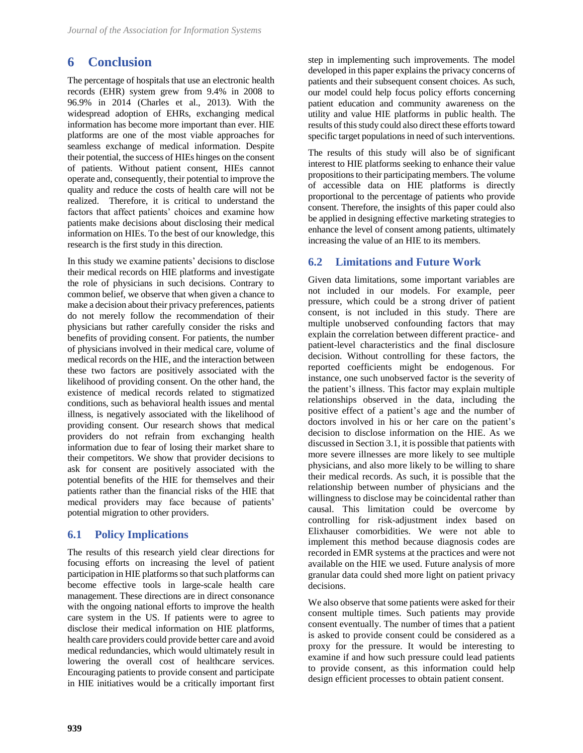# **6 Conclusion**

The percentage of hospitals that use an electronic health records (EHR) system grew from 9.4% in 2008 to 96.9% in 2014 (Charles et al., 2013). With the widespread adoption of EHRs, exchanging medical information has become more important than ever. HIE platforms are one of the most viable approaches for seamless exchange of medical information. Despite their potential, the success of HIEs hinges on the consent of patients. Without patient consent, HIEs cannot operate and, consequently, their potential to improve the quality and reduce the costs of health care will not be realized. Therefore, it is critical to understand the factors that affect patients' choices and examine how patients make decisions about disclosing their medical information on HIEs. To the best of our knowledge, this research is the first study in this direction.

In this study we examine patients' decisions to disclose their medical records on HIE platforms and investigate the role of physicians in such decisions. Contrary to common belief, we observe that when given a chance to make a decision about their privacy preferences, patients do not merely follow the recommendation of their physicians but rather carefully consider the risks and benefits of providing consent. For patients, the number of physicians involved in their medical care, volume of medical records on the HIE, and the interaction between these two factors are positively associated with the likelihood of providing consent. On the other hand, the existence of medical records related to stigmatized conditions, such as behavioral health issues and mental illness, is negatively associated with the likelihood of providing consent. Our research shows that medical providers do not refrain from exchanging health information due to fear of losing their market share to their competitors. We show that provider decisions to ask for consent are positively associated with the potential benefits of the HIE for themselves and their patients rather than the financial risks of the HIE that medical providers may face because of patients' potential migration to other providers.

#### **6.1 Policy Implications**

The results of this research yield clear directions for focusing efforts on increasing the level of patient participation in HIE platforms so that such platforms can become effective tools in large-scale health care management. These directions are in direct consonance with the ongoing national efforts to improve the health care system in the US. If patients were to agree to disclose their medical information on HIE platforms, health care providers could provide better care and avoid medical redundancies, which would ultimately result in lowering the overall cost of healthcare services. Encouraging patients to provide consent and participate in HIE initiatives would be a critically important first

step in implementing such improvements. The model developed in this paper explains the privacy concerns of patients and their subsequent consent choices. As such, our model could help focus policy efforts concerning patient education and community awareness on the utility and value HIE platforms in public health. The results of this study could also direct these efforts toward specific target populations in need of such interventions.

The results of this study will also be of significant interest to HIE platforms seeking to enhance their value propositions to their participating members. The volume of accessible data on HIE platforms is directly proportional to the percentage of patients who provide consent. Therefore, the insights of this paper could also be applied in designing effective marketing strategies to enhance the level of consent among patients, ultimately increasing the value of an HIE to its members.

## **6.2 Limitations and Future Work**

Given data limitations, some important variables are not included in our models. For example, peer pressure, which could be a strong driver of patient consent, is not included in this study. There are multiple unobserved confounding factors that may explain the correlation between different practice- and patient-level characteristics and the final disclosure decision. Without controlling for these factors, the reported coefficients might be endogenous. For instance, one such unobserved factor is the severity of the patient's illness. This factor may explain multiple relationships observed in the data, including the positive effect of a patient's age and the number of doctors involved in his or her care on the patient's decision to disclose information on the HIE. As we discussed in Section 3.1, it is possible that patients with more severe illnesses are more likely to see multiple physicians, and also more likely to be willing to share their medical records. As such, it is possible that the relationship between number of physicians and the willingness to disclose may be coincidental rather than causal. This limitation could be overcome by controlling for risk-adjustment index based on Elixhauser comorbidities. We were not able to implement this method because diagnosis codes are recorded in EMR systems at the practices and were not available on the HIE we used. Future analysis of more granular data could shed more light on patient privacy decisions.

We also observe that some patients were asked for their consent multiple times. Such patients may provide consent eventually. The number of times that a patient is asked to provide consent could be considered as a proxy for the pressure. It would be interesting to examine if and how such pressure could lead patients to provide consent, as this information could help design efficient processes to obtain patient consent.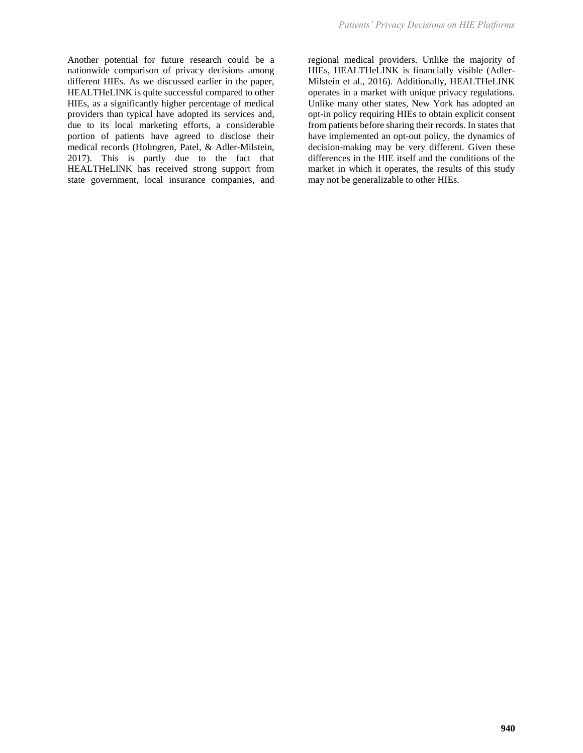Another potential for future research could be a nationwide comparison of privacy decisions among different HIEs. As we discussed earlier in the paper, HEALTHeLINK is quite successful compared to other HIEs, as a significantly higher percentage of medical providers than typical have adopted its services and, due to its local marketing efforts, a considerable portion of patients have agreed to disclose their medical records (Holmgren, Patel, & Adler-Milstein, 2017). This is partly due to the fact that HEALTHeLINK has received strong support from state government, local insurance companies, and

regional medical providers. Unlike the majority of HIEs, HEALTHeLINK is financially visible (Adler-Milstein et al., 2016). Additionally, HEALTHeLINK operates in a market with unique privacy regulations. Unlike many other states, New York has adopted an opt-in policy requiring HIEs to obtain explicit consent from patients before sharing their records. In states that have implemented an opt-out policy, the dynamics of decision-making may be very different. Given these differences in the HIE itself and the conditions of the market in which it operates, the results of this study may not be generalizable to other HIEs.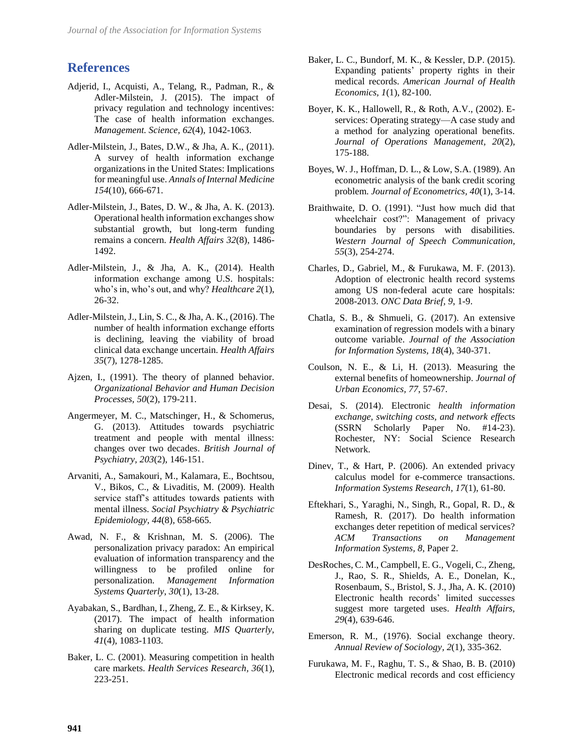## **References**

- Adjerid, I., Acquisti, A., Telang, R., Padman, R., & Adler-Milstein, J. (2015). The impact of privacy regulation and technology incentives: The case of health information exchanges. *Management. Science, 62*(4), 1042-1063.
- Adler-Milstein, J., Bates, D.W., & Jha, A. K., (2011). A survey of health information exchange organizations in the United States: Implications for meaningful use. *Annals of Internal Medicine 154*(10), 666-671.
- Adler-Milstein, J., Bates, D. W., & Jha, A. K. (2013). Operational health information exchanges show substantial growth, but long-term funding remains a concern. *Health Affairs 32*(8), 1486- 1492.
- Adler-Milstein, J., & Jha, A. K., (2014). Health information exchange among U.S. hospitals: who's in, who's out, and why? *Healthcare 2*(1), 26-32.
- Adler-Milstein, J., Lin, S. C., & Jha, A. K., (2016). The number of health information exchange efforts is declining, leaving the viability of broad clinical data exchange uncertain. *Health Affairs 35*(7), 1278-1285.
- Ajzen, I., (1991). The theory of planned behavior. *Organizational Behavior and Human Decision Processes, 50*(2), 179-211.
- Angermeyer, M. C., Matschinger, H., & Schomerus, G. (2013). Attitudes towards psychiatric treatment and people with mental illness: changes over two decades. *British Journal of Psychiatry, 203*(2), 146-151.
- Arvaniti, A., Samakouri, M., Kalamara, E., Bochtsou, V., Bikos, C., & Livaditis, M. (2009). Health service staff's attitudes towards patients with mental illness. *Social Psychiatry & Psychiatric Epidemiology, 44*(8), 658-665.
- Awad, N. F., & Krishnan, M. S. (2006). The personalization privacy paradox: An empirical evaluation of information transparency and the willingness to be profiled online for personalization. *Management Information Systems Quarterly*, *30*(1), 13-28.
- Ayabakan, S., Bardhan, I., Zheng, Z. E., & Kirksey, K. (2017). The impact of health information sharing on duplicate testing. *MIS Quarterly, 41*(4), 1083-1103.
- Baker, L. C. (2001). Measuring competition in health care markets. *Health Services Research, 36*(1), 223-251.
- Baker, L. C., Bundorf, M. K., & Kessler, D.P. (2015). Expanding patients' property rights in their medical records. *American Journal of Health Economics, 1*(1), 82-100.
- Boyer, K. K., Hallowell, R., & Roth, A.V., (2002). Eservices: Operating strategy—A case study and a method for analyzing operational benefits. *Journal of Operations Management, 20*(2), 175-188.
- Boyes, W. J., Hoffman, D. L., & Low, S.A. (1989). An econometric analysis of the bank credit scoring problem. *Journal of Econometrics, 40*(1), 3-14.
- Braithwaite, D. O. (1991). "Just how much did that wheelchair cost?": Management of privacy boundaries by persons with disabilities. *Western Journal of Speech Communication, 55*(3), 254-274.
- Charles, D., Gabriel, M., & Furukawa, M. F. (2013). Adoption of electronic health record systems among US non-federal acute care hospitals: 2008-2013. *ONC Data Brief, 9*, 1-9.
- Chatla, S. B., & Shmueli, G. (2017). An extensive examination of regression models with a binary outcome variable. *Journal of the Association for Information Systems, 18*(4), 340-371.
- Coulson, N. E., & Li, H. (2013). Measuring the external benefits of homeownership. *Journal of Urban Economics, 77*, 57-67.
- Desai, S. (2014). Electronic *health information exchange, switching costs, and network effec*ts (SSRN Scholarly Paper No. #14-23). Rochester, NY: Social Science Research Network.
- Dinev, T., & Hart, P. (2006). An extended privacy calculus model for e-commerce transactions. *Information Systems Research, 17*(1), 61-80.
- Eftekhari, S., Yaraghi, N., Singh, R., Gopal, R. D., & Ramesh, R. (2017). Do health information exchanges deter repetition of medical services? *ACM Transactions on Management Information Systems, 8*, Paper 2.
- DesRoches, C. M., Campbell, E. G., Vogeli, C., Zheng, J., Rao, S. R., Shields, A. E., Donelan, K., Rosenbaum, S., Bristol, S. J., Jha, A. K. (2010) Electronic health records' limited successes suggest more targeted uses. *Health Affairs, 29*(4), 639-646.
- Emerson, R. M., (1976). Social exchange theory. *Annual Review of Sociology, 2*(1), 335-362.
- Furukawa, M. F., Raghu, T. S., & Shao, B. B. (2010) Electronic medical records and cost efficiency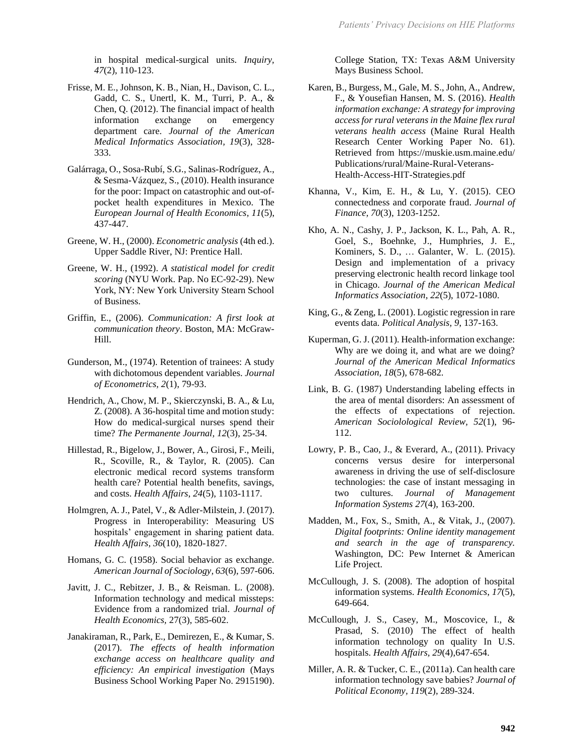in hospital medical-surgical units. *Inquiry, 47*(2), 110-123.

- Frisse, M. E., Johnson, K. B., Nian, H., Davison, C. L., Gadd, C. S., Unertl, K. M., Turri, P. A., & Chen, Q. (2012). The financial impact of health information exchange on emergency department care. *Journal of the American Medical Informatics Association, 19*(3), 328- 333.
- Galárraga, O., Sosa-Rubí, S.G., Salinas-Rodríguez, A., & Sesma-Vázquez, S., (2010). Health insurance for the poor: Impact on catastrophic and out-ofpocket health expenditures in Mexico. The *European Journal of Health Economics, 11*(5), 437-447.
- Greene, W. H., (2000). *Econometric analysis* (4th ed.). Upper Saddle River, NJ: Prentice Hall.
- Greene, W. H., (1992). *A statistical model for credit scoring* (NYU Work. Pap. No EC-92-29). New York, NY: New York University Stearn School of Business.
- Griffin, E., (2006). *Communication: A first look at communication theory*. Boston, MA: McGraw-Hill.
- Gunderson, M., (1974). Retention of trainees: A study with dichotomous dependent variables. *Journal of Econometrics, 2*(1), 79-93.
- Hendrich, A., Chow, M. P., Skierczynski, B. A., & Lu, Z. (2008). A 36-hospital time and motion study: How do medical-surgical nurses spend their time? *The Permanente Journal, 12*(3), 25-34.
- Hillestad, R., Bigelow, J., Bower, A., Girosi, F., Meili, R., Scoville, R., & Taylor, R. (2005). Can electronic medical record systems transform health care? Potential health benefits, savings, and costs. *Health Affairs*, *24*(5), 1103-1117.
- Holmgren, A. J., Patel, V., & Adler-Milstein, J. (2017). Progress in Interoperability: Measuring US hospitals' engagement in sharing patient data. *Health Affairs, 36*(10), 1820-1827.
- Homans, G. C. (1958). Social behavior as exchange. *American Journal of Sociology, 63*(6), 597-606.
- Javitt, J. C., Rebitzer, J. B., & Reisman. L. (2008). Information technology and medical missteps: Evidence from a randomized trial. *Journal of Health Economics,* 27(3), 585-602.
- Janakiraman, R., Park, E., Demirezen, E., & Kumar, S. (2017). *The effects of health information exchange access on healthcare quality and efficiency: An empirical investigation* (Mays Business School Working Paper No. 2915190).

College Station, TX: Texas A&M University Mays Business School.

- Karen, B., Burgess, M., Gale, M. S., John, A., Andrew, F., & Yousefian Hansen, M. S. (2016). *Health information exchange: A strategy for improving access for rural veterans in the Maine flex rural veterans health access* (Maine Rural Health Research Center Working Paper No. 61). Retrieved from https://muskie.usm.maine.edu/ Publications/rural/Maine-Rural-Veterans-Health-Access-HIT-Strategies.pdf
- Khanna, V., Kim, E. H., & Lu, Y. (2015). CEO connectedness and corporate fraud. *Journal of Finance, 70*(3), 1203-1252.
- Kho, A. N., Cashy, J. P., Jackson, K. L., Pah, A. R., Goel, S., Boehnke, J., Humphries, J. E., Kominers, S. D., … Galanter, W. L. (2015). Design and implementation of a privacy preserving electronic health record linkage tool in Chicago. *Journal of the American Medical Informatics Association, 22*(5), 1072-1080.
- King, G., & Zeng, L. (2001). Logistic regression in rare events data. *Political Analysis, 9*, 137-163.
- Kuperman, G. J. (2011). Health-information exchange: Why are we doing it, and what are we doing? *Journal of the American Medical Informatics Association, 18*(5), 678-682.
- Link, B. G. (1987) Understanding labeling effects in the area of mental disorders: An assessment of the effects of expectations of rejection. *American Sociolological Review, 52*(1), 96- 112.
- Lowry, P. B., Cao, J., & Everard, A., (2011). Privacy concerns versus desire for interpersonal awareness in driving the use of self-disclosure technologies: the case of instant messaging in two cultures. *Journal of Management Information Systems 27*(4), 163-200.
- Madden, M., Fox, S., Smith, A., & Vitak, J., (2007). *Digital footprints: Online identity management and search in the age of transparency.*  Washington, DC: Pew Internet & American Life Project.
- McCullough, J. S. (2008). The adoption of hospital information systems. *Health Economics*, *17*(5), 649-664.
- McCullough, J. S., Casey, M., Moscovice, I., & Prasad, S. (2010) The effect of health information technology on quality In U.S. hospitals. *Health Affairs, 29*(4),647-654.
- Miller, A. R. & Tucker, C. E., (2011a). Can health care information technology save babies? *Journal of Political Economy, 119*(2), 289-324.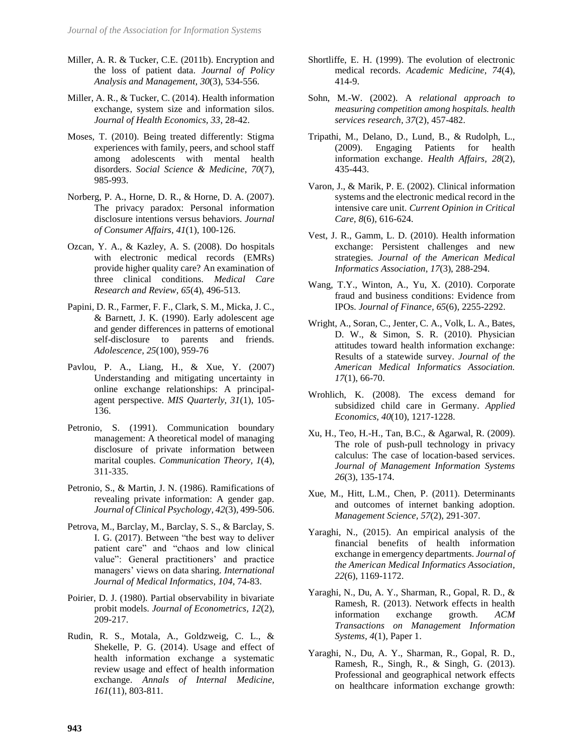- Miller, A. R. & Tucker, C.E. (2011b). Encryption and the loss of patient data. *Journal of Policy Analysis and Management, 30*(3), 534-556.
- Miller, A. R., & Tucker, C. (2014). Health information exchange, system size and information silos. *Journal of Health Economics, 33*, 28-42.
- Moses, T. (2010). Being treated differently: Stigma experiences with family, peers, and school staff among adolescents with mental health disorders. *Social Science & Medicine*, *70*(7), 985-993.
- Norberg, P. A., Horne, D. R., & Horne, D. A. (2007). The privacy paradox: Personal information disclosure intentions versus behaviors. *Journal of Consumer Affairs, 41*(1), 100-126.
- Ozcan, Y. A., & Kazley, A. S. (2008). Do hospitals with electronic medical records (EMRs) provide higher quality care? An examination of three clinical conditions. *Medical Care Research and Review, 65*(4), 496-513.
- Papini, D. R., Farmer, F. F., Clark, S. M., Micka, J. C., & Barnett, J. K. (1990). Early adolescent age and gender differences in patterns of emotional self-disclosure to parents and friends. *Adolescence, 25*(100), 959-76
- Pavlou, P. A., Liang, H., & Xue, Y. (2007) Understanding and mitigating uncertainty in online exchange relationships: A principalagent perspective. *MIS Quarterly, 31*(1), 105- 136.
- Petronio, S. (1991). Communication boundary management: A theoretical model of managing disclosure of private information between marital couples. *Communication Theory, 1*(4), 311-335.
- Petronio, S., & Martin, J. N. (1986). Ramifications of revealing private information: A gender gap. *Journal of Clinical Psychology, 42*(3), 499-506.
- Petrova, M., Barclay, M., Barclay, S. S., & Barclay, S. I. G. (2017). Between "the best way to deliver patient care" and "chaos and low clinical value": General practitioners' and practice managers' views on data sharing. *International Journal of Medical Informatics, 104*, 74-83.
- Poirier, D. J. (1980). Partial observability in bivariate probit models. *Journal of Econometrics, 12*(2), 209-217.
- Rudin, R. S., Motala, A., Goldzweig, C. L., & Shekelle, P. G. (2014). Usage and effect of health information exchange a systematic review usage and effect of health information exchange. *Annals of Internal Medicine, 161*(11), 803-811.
- Shortliffe, E. H. (1999). The evolution of electronic medical records. *Academic Medicine, 74*(4), 414-9.
- Sohn, M.-W. (2002). A *relational approach to measuring competition among hospitals. health services research, 37*(2), 457-482.
- Tripathi, M., Delano, D., Lund, B., & Rudolph, L., (2009). Engaging Patients for health information exchange. *Health Affairs, 28*(2), 435-443.
- Varon, J., & Marik, P. E. (2002). Clinical information systems and the electronic medical record in the intensive care unit. *Current Opinion in Critical Care, 8*(6), 616-624.
- Vest, J. R., Gamm, L. D. (2010). Health information exchange: Persistent challenges and new strategies. *Journal of the American Medical Informatics Association, 17*(3), 288-294.
- Wang, T.Y., Winton, A., Yu, X. (2010). Corporate fraud and business conditions: Evidence from IPOs. *Journal of Finance, 65*(6), 2255-2292.
- Wright, A., Soran, C., Jenter, C. A., Volk, L. A., Bates, D. W., & Simon, S. R. (2010). Physician attitudes toward health information exchange: Results of a statewide survey. *Journal of the American Medical Informatics Association. 17*(1), 66-70.
- Wrohlich, K. (2008). The excess demand for subsidized child care in Germany. *Applied Economics, 40*(10), 1217-1228.
- Xu, H., Teo, H.-H., Tan, B.C., & Agarwal, R. (2009). The role of push-pull technology in privacy calculus: The case of location-based services. *Journal of Management Information Systems 26*(3), 135-174.
- Xue, M., Hitt, L.M., Chen, P. (2011). Determinants and outcomes of internet banking adoption. *Management Science, 57*(2), 291-307.
- Yaraghi, N., (2015). An empirical analysis of the financial benefits of health information exchange in emergency departments. *Journal of the American Medical Informatics Association, 22*(6), 1169-1172.
- Yaraghi, N., Du, A. Y., Sharman, R., Gopal, R. D., & Ramesh, R. (2013). Network effects in health information exchange growth. *ACM Transactions on Management Information Systems, 4*(1), Paper 1.
- Yaraghi, N., Du, A. Y., Sharman, R., Gopal, R. D., Ramesh, R., Singh, R., & Singh, G. (2013). Professional and geographical network effects on healthcare information exchange growth: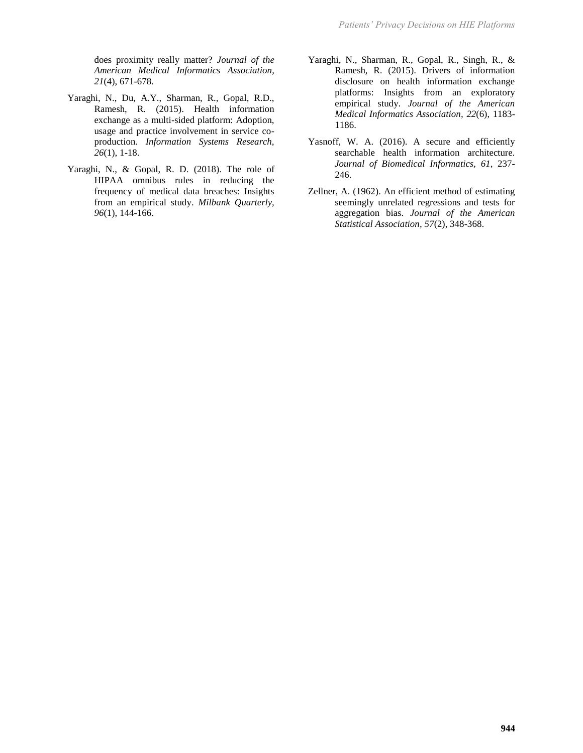does proximity really matter? *Journal of the American Medical Informatics Association, 21*(4), 671-678.

- Yaraghi, N., Du, A.Y., Sharman, R., Gopal, R.D., Ramesh, R. (2015). Health information exchange as a multi-sided platform: Adoption, usage and practice involvement in service coproduction. *Information Systems Research, 26*(1), 1-18.
- Yaraghi, N., & Gopal, R. D. (2018). The role of HIPAA omnibus rules in reducing the frequency of medical data breaches: Insights from an empirical study. *Milbank Quarterly, 96*(1), 144-166.
- Yaraghi, N., Sharman, R., Gopal, R., Singh, R., & Ramesh, R. (2015). Drivers of information disclosure on health information exchange platforms: Insights from an exploratory empirical study. *Journal of the American Medical Informatics Association, 22*(6), 1183- 1186.
- Yasnoff, W. A. (2016). A secure and efficiently searchable health information architecture. *Journal of Biomedical Informatics, 61*, 237- 246.
- Zellner, A. (1962). An efficient method of estimating seemingly unrelated regressions and tests for aggregation bias. *Journal of the American Statistical Association, 57*(2), 348-368.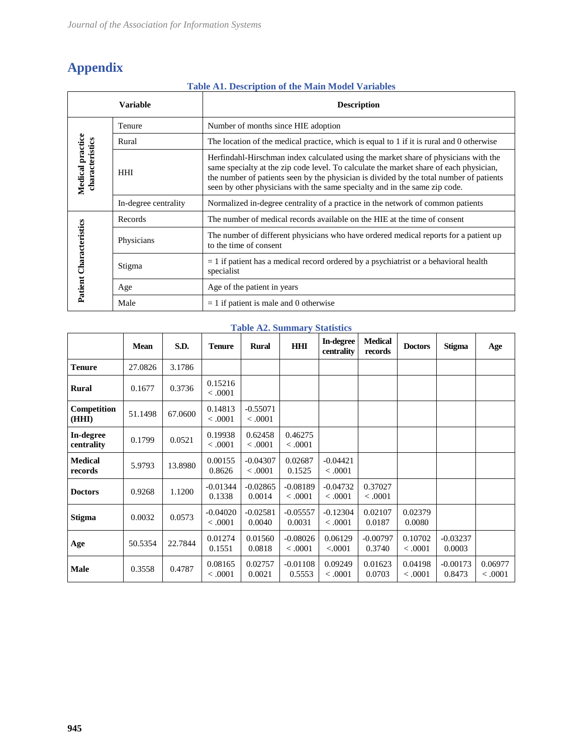# **Appendix**

#### **Table A1. Description of the Main Model Variables**

|                                     | <b>Variable</b>      | <b>Description</b>                                                                                                                                                                                                                                                                                                                                     |
|-------------------------------------|----------------------|--------------------------------------------------------------------------------------------------------------------------------------------------------------------------------------------------------------------------------------------------------------------------------------------------------------------------------------------------------|
|                                     | Tenure               | Number of months since HIE adoption                                                                                                                                                                                                                                                                                                                    |
|                                     | Rural                | The location of the medical practice, which is equal to 1 if it is rural and 0 otherwise                                                                                                                                                                                                                                                               |
| Medical practice<br>characteristics | <b>HHI</b>           | Herfindahl-Hirschman index calculated using the market share of physicians with the<br>same specialty at the zip code level. To calculate the market share of each physician,<br>the number of patients seen by the physician is divided by the total number of patients<br>seen by other physicians with the same specialty and in the same zip code. |
|                                     | In-degree centrality | Normalized in-degree centrality of a practice in the network of common patients                                                                                                                                                                                                                                                                        |
|                                     | Records              | The number of medical records available on the HIE at the time of consent                                                                                                                                                                                                                                                                              |
|                                     | Physicians           | The number of different physicians who have ordered medical reports for a patient up<br>to the time of consent                                                                                                                                                                                                                                         |
| <b>Patient Characteristics</b>      | Stigma               | $= 1$ if patient has a medical record ordered by a psychiatrist or a behavioral health<br>specialist                                                                                                                                                                                                                                                   |
|                                     | Age                  | Age of the patient in years                                                                                                                                                                                                                                                                                                                            |
|                                     | Male                 | $= 1$ if patient is male and 0 otherwise                                                                                                                                                                                                                                                                                                               |

#### **Table A2. Summary Statistics**

|                           | <b>Mean</b> | S.D.    | <b>Tenure</b>         | <b>Rural</b>          | <b>HHI</b>            | In-degree<br>centrality | <b>Medical</b><br>records | <b>Doctors</b>     | <b>Stigma</b>        | Age                |
|---------------------------|-------------|---------|-----------------------|-----------------------|-----------------------|-------------------------|---------------------------|--------------------|----------------------|--------------------|
| <b>Tenure</b>             | 27.0826     | 3.1786  |                       |                       |                       |                         |                           |                    |                      |                    |
| <b>Rural</b>              | 0.1677      | 0.3736  | 0.15216<br>< 0.0001   |                       |                       |                         |                           |                    |                      |                    |
| Competition<br>(HHI)      | 51.1498     | 67.0600 | 0.14813<br>< 0.0001   | $-0.55071$<br>< .0001 |                       |                         |                           |                    |                      |                    |
| In-degree<br>centrality   | 0.1799      | 0.0521  | 0.19938<br>< .0001    | 0.62458<br>< .0001    | 0.46275<br>< .0001    |                         |                           |                    |                      |                    |
| <b>Medical</b><br>records | 5.9793      | 13.8980 | 0.00155<br>0.8626     | $-0.04307$<br>< .0001 | 0.02687<br>0.1525     | $-0.04421$<br>< .0001   |                           |                    |                      |                    |
| <b>Doctors</b>            | 0.9268      | 1.1200  | $-0.01344$<br>0.1338  | $-0.02865$<br>0.0014  | $-0.08189$<br>< .0001 | $-0.04732$<br>< .0001   | 0.37027<br>< .0001        |                    |                      |                    |
| <b>Stigma</b>             | 0.0032      | 0.0573  | $-0.04020$<br>< .0001 | $-0.02581$<br>0.0040  | $-0.05557$<br>0.0031  | $-0.12304$<br>< 0.0001  | 0.02107<br>0.0187         | 0.02379<br>0.0080  |                      |                    |
| Age                       | 50.5354     | 22.7844 | 0.01274<br>0.1551     | 0.01560<br>0.0818     | $-0.08026$<br>< .0001 | 0.06129<br>< 0001       | $-0.00797$<br>0.3740      | 0.10702<br>< .0001 | $-0.03237$<br>0.0003 |                    |
| <b>Male</b>               | 0.3558      | 0.4787  | 0.08165<br>< .0001    | 0.02757<br>0.0021     | $-0.01108$<br>0.5553  | 0.09249<br>< .0001      | 0.01623<br>0.0703         | 0.04198<br>< .0001 | $-0.00173$<br>0.8473 | 0.06977<br>< 0.001 |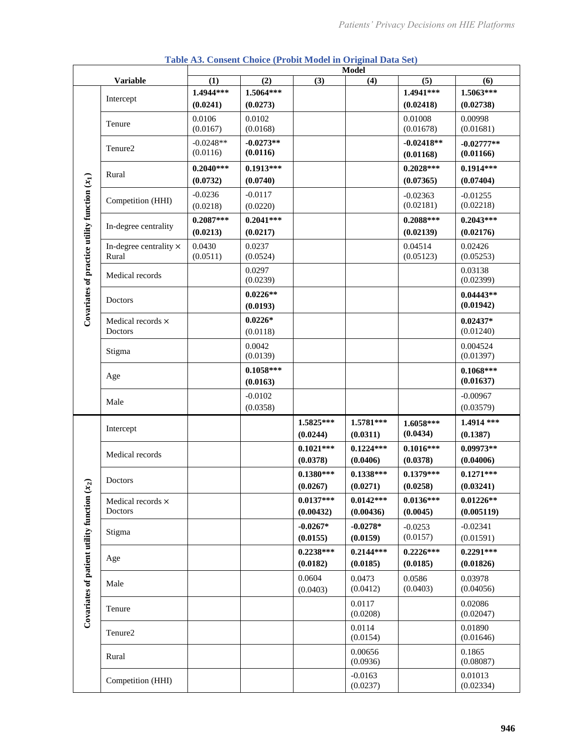|                                                 |                              |             |                    |             | <b>Model</b>       |              |                      |
|-------------------------------------------------|------------------------------|-------------|--------------------|-------------|--------------------|--------------|----------------------|
|                                                 | <b>Variable</b>              | (1)         | (2)                | (3)         | (4)                | (5)          | (6)                  |
|                                                 |                              | 1.4944***   | 1.5064***          |             |                    | 1.4941***    | 1.5063***            |
|                                                 | Intercept                    | (0.0241)    | (0.0273)           |             |                    | (0.02418)    | (0.02738)            |
|                                                 |                              | 0.0106      | 0.0102             |             |                    | 0.01008      | 0.00998              |
|                                                 | Tenure                       | (0.0167)    | (0.0168)           |             |                    | (0.01678)    | (0.01681)            |
|                                                 |                              | $-0.0248**$ | $-0.0273**$        |             |                    | $-0.02418**$ | $-0.02777**$         |
|                                                 | Tenure2                      | (0.0116)    | (0.0116)           |             |                    | (0.01168)    | (0.01166)            |
|                                                 |                              |             |                    |             |                    |              |                      |
|                                                 | Rural                        | $0.2040***$ | $0.1913***$        |             |                    | $0.2028***$  | $0.1914***$          |
|                                                 |                              | (0.0732)    | (0.0740)           |             |                    | (0.07365)    | (0.07404)            |
|                                                 |                              | $-0.0236$   | $-0.0117$          |             |                    | $-0.02363$   | $-0.01255$           |
|                                                 | Competition (HHI)            | (0.0218)    | (0.0220)           |             |                    | (0.02181)    | (0.02218)            |
|                                                 |                              | $0.2087***$ | $0.2041***$        |             |                    | $0.2088***$  | $0.2043***$          |
|                                                 | In-degree centrality         | (0.0213)    | (0.0217)           |             |                    | (0.02139)    | (0.02176)            |
| Covariates of practice utility function $(x_1)$ | In-degree centrality ×       | 0.0430      | 0.0237             |             |                    | 0.04514      | 0.02426              |
|                                                 | Rural                        | (0.0511)    | (0.0524)           |             |                    | (0.05123)    | (0.05253)            |
|                                                 |                              |             |                    |             |                    |              |                      |
|                                                 | Medical records              |             | 0.0297<br>(0.0239) |             |                    |              | 0.03138<br>(0.02399) |
|                                                 |                              |             |                    |             |                    |              |                      |
|                                                 | Doctors                      |             | $0.0226**$         |             |                    |              | $0.04443**$          |
|                                                 |                              |             | (0.0193)           |             |                    |              | (0.01942)            |
|                                                 | Medical records ×            |             | $0.0226*$          |             |                    |              | $0.02437*$           |
|                                                 | Doctors                      |             | (0.0118)           |             |                    |              | (0.01240)            |
|                                                 |                              |             | 0.0042             |             |                    |              | 0.004524             |
|                                                 | Stigma                       |             | (0.0139)           |             |                    |              | (0.01397)            |
|                                                 |                              |             | $0.1058***$        |             |                    |              | $0.1068***$          |
|                                                 | Age                          |             | (0.0163)           |             |                    |              | (0.01637)            |
|                                                 |                              |             | $-0.0102$          |             |                    |              |                      |
|                                                 | Male                         |             |                    |             |                    |              | $-0.00967$           |
|                                                 |                              |             | (0.0358)           |             |                    |              | (0.03579)            |
|                                                 | Intercept                    |             |                    | 1.5825***   | $1.5781***$        | 1.6058***    | 1.4914 ***           |
|                                                 |                              |             |                    | (0.0244)    | (0.0311)           | (0.0434)     | (0.1387)             |
|                                                 |                              |             |                    | $0.1021***$ | $0.1224***$        | $0.1016***$  | $0.09973**$          |
|                                                 | Medical records              |             |                    | (0.0378)    | (0.0406)           | (0.0378)     | (0.04006)            |
|                                                 |                              |             |                    | $0.1380***$ | $0.1338***$        | $0.1379***$  | $0.1271***$          |
| $\mathbf{x}_2$                                  | Doctors                      |             |                    | (0.0267)    | (0.0271)           | (0.0258)     | (0.03241)            |
|                                                 |                              |             |                    | $0.0137***$ | $0.0142***$        | $0.0136***$  | $0.01226**$          |
|                                                 | Medical records ×<br>Doctors |             |                    |             |                    |              |                      |
|                                                 |                              |             |                    | (0.00432)   | (0.00436)          | (0.0045)     | (0.005119)           |
|                                                 | Stigma                       |             |                    | $-0.0267*$  | $-0.0278*$         | $-0.0253$    | $-0.02341$           |
|                                                 |                              |             |                    | (0.0155)    | (0.0159)           | (0.0157)     | (0.01591)            |
|                                                 | Age                          |             |                    | $0.2238***$ | $0.2144***$        | $0.2226***$  | $0.2291***$          |
|                                                 |                              |             |                    | (0.0182)    | (0.0185)           | (0.0185)     | (0.01826)            |
|                                                 |                              |             |                    | 0.0604      | 0.0473             | 0.0586       | 0.03978              |
|                                                 | Male                         |             |                    | (0.0403)    | (0.0412)           | (0.0403)     | (0.04056)            |
|                                                 |                              |             |                    |             | 0.0117             |              |                      |
|                                                 | Tenure                       |             |                    |             | (0.0208)           |              | 0.02086<br>(0.02047) |
| Covariates of patient utility function          |                              |             |                    |             |                    |              |                      |
|                                                 | Tenure2                      |             |                    |             | 0.0114<br>(0.0154) |              | 0.01890<br>(0.01646) |
|                                                 |                              |             |                    |             |                    |              |                      |
|                                                 | Rural                        |             |                    |             | 0.00656            |              | 0.1865               |
|                                                 |                              |             |                    |             | (0.0936)           |              | (0.08087)            |
|                                                 | Competition (HHI)            |             |                    |             | $-0.0163$          |              | 0.01013              |
|                                                 |                              |             |                    |             | (0.0237)           |              | (0.02334)            |

| Table A3. Consent Choice (Probit Model in Original Data Set) |  |  |  |  |  |  |  |  |  |  |  |  |
|--------------------------------------------------------------|--|--|--|--|--|--|--|--|--|--|--|--|
|--------------------------------------------------------------|--|--|--|--|--|--|--|--|--|--|--|--|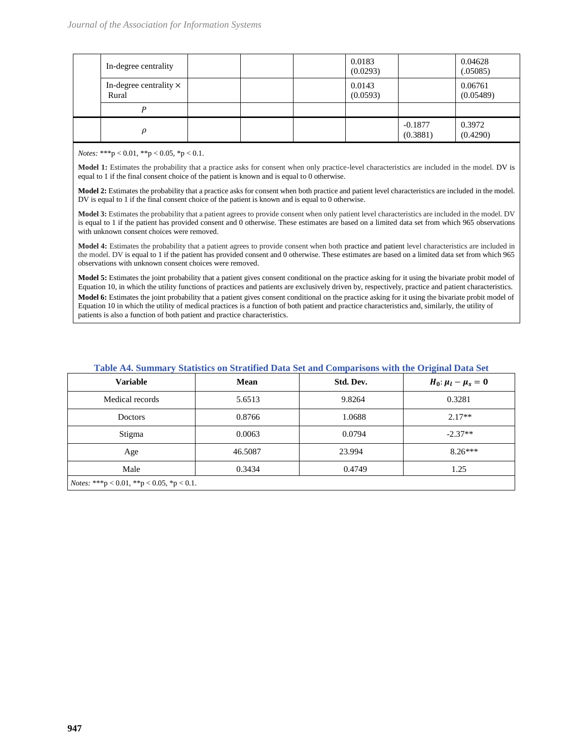| In-degree centrality                   |  | 0.0183<br>(0.0293) |                       | 0.04628<br>(.05085)  |
|----------------------------------------|--|--------------------|-----------------------|----------------------|
| In-degree centrality $\times$<br>Rural |  | 0.0143<br>(0.0593) |                       | 0.06761<br>(0.05489) |
|                                        |  |                    |                       |                      |
|                                        |  |                    | $-0.1877$<br>(0.3881) | 0.3972<br>(0.4290)   |

*Notes:* \*\*\*p < 0.01, \*\*p < 0.05, \*p < 0.1.

**Model 1:** Estimates the probability that a practice asks for consent when only practice-level characteristics are included in the model. DV is equal to 1 if the final consent choice of the patient is known and is equal to 0 otherwise.

**Model 2:** Estimates the probability that a practice asks for consent when both practice and patient level characteristics are included in the model. DV is equal to 1 if the final consent choice of the patient is known and is equal to 0 otherwise.

**Model 3:** Estimates the probability that a patient agrees to provide consent when only patient level characteristics are included in the model. DV is equal to 1 if the patient has provided consent and 0 otherwise. These estimates are based on a limited data set from which 965 observations with unknown consent choices were removed.

**Model 4:** Estimates the probability that a patient agrees to provide consent when both practice and patient level characteristics are included in the model. DV is equal to 1 if the patient has provided consent and 0 otherwise. These estimates are based on a limited data set from which 965 observations with unknown consent choices were removed.

**Model 5:** Estimates the joint probability that a patient gives consent conditional on the practice asking for it using the bivariate probit model of Equation 10, in which the utility functions of practices and patients are exclusively driven by, respectively, practice and patient characteristics. **Model 6:** Estimates the joint probability that a patient gives consent conditional on the practice asking for it using the bivariate probit model of Equation 10 in which the utility of medical practices is a function of both patient and practice characteristics and, similarly, the utility of patients is also a function of both patient and practice characteristics.

| <b>Variable</b>                                  | <b>Mean</b> | Std. Dev. | $H_0: \mu_l - \mu_s = 0$ |  |  |  |  |
|--------------------------------------------------|-------------|-----------|--------------------------|--|--|--|--|
| Medical records                                  | 5.6513      | 9.8264    | 0.3281                   |  |  |  |  |
| <b>Doctors</b>                                   | 0.8766      | 1.0688    | $2.17**$                 |  |  |  |  |
| Stigma                                           | 0.0063      | 0.0794    | $-2.37**$                |  |  |  |  |
| Age                                              | 46.5087     | 23.994    | $8.26***$                |  |  |  |  |
| Male                                             | 0.3434      | 0.4749    | 1.25                     |  |  |  |  |
| <i>Notes:</i> ***p < 0.01, **p < 0.05, *p < 0.1. |             |           |                          |  |  |  |  |

#### **Table A4. Summary Statistics on Stratified Data Set and Comparisons with the Original Data Set**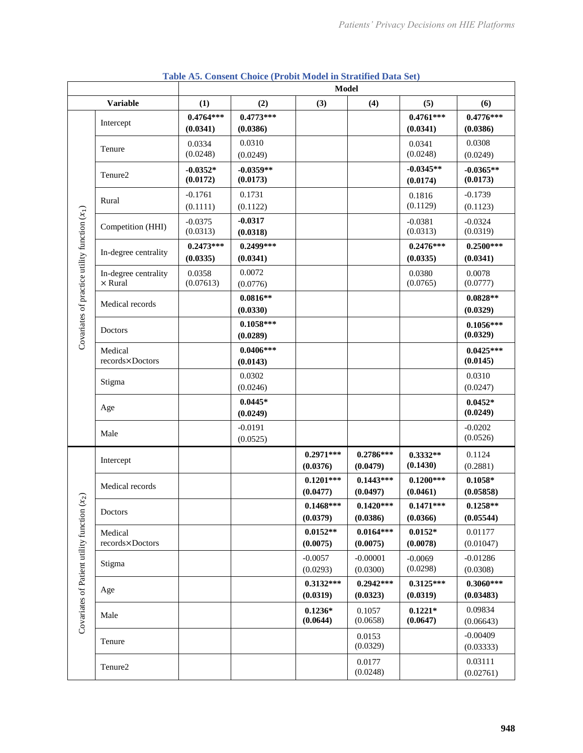|                                                 |                            |                        |                         | <b>Model</b>           |                         |                         |                         |
|-------------------------------------------------|----------------------------|------------------------|-------------------------|------------------------|-------------------------|-------------------------|-------------------------|
| <b>Variable</b>                                 |                            | (1)                    | (2)                     | (3)                    | (4)                     | (5)                     | (6)                     |
|                                                 | Intercept                  | $0.4764***$            | $0.4773***$             |                        |                         | $0.4761***$             | $0.4776***$             |
|                                                 |                            | (0.0341)               | (0.0386)                |                        |                         | (0.0341)                | (0.0386)                |
|                                                 | Tenure                     | 0.0334<br>(0.0248)     | 0.0310                  |                        |                         | 0.0341<br>(0.0248)      | 0.0308                  |
|                                                 |                            |                        | (0.0249)                |                        |                         |                         | (0.0249)                |
|                                                 | Tenure <sub>2</sub>        | $-0.0352*$<br>(0.0172) | $-0.0359**$<br>(0.0173) |                        |                         | $-0.0345**$<br>(0.0174) | $-0.0365**$<br>(0.0173) |
|                                                 | Rural                      | $-0.1761$<br>(0.1111)  | 0.1731<br>(0.1122)      |                        |                         | 0.1816<br>(0.1129)      | $-0.1739$<br>(0.1123)   |
| Covariates of practice utility function $(x_1)$ | Competition (HHI)          | $-0.0375$<br>(0.0313)  | $-0.0317$<br>(0.0318)   |                        |                         | $-0.0381$<br>(0.0313)   | $-0.0324$<br>(0.0319)   |
|                                                 |                            | $0.2473***$            | $0.2499***$             |                        |                         | $0.2476***$             | $0.2500***$             |
|                                                 | In-degree centrality       | (0.0335)               | (0.0341)                |                        |                         | (0.0335)                | (0.0341)                |
|                                                 | In-degree centrality       | 0.0358                 | 0.0072                  |                        |                         | 0.0380                  | 0.0078                  |
|                                                 | $\times$ Rural             | (0.07613)              | (0.0776)                |                        |                         | (0.0765)                | (0.0777)                |
|                                                 | Medical records            |                        | $0.0816**$<br>(0.0330)  |                        |                         |                         | $0.0828**$<br>(0.0329)  |
|                                                 |                            |                        | $0.1058***$             |                        |                         |                         | $0.1056***$             |
|                                                 | Doctors                    |                        | (0.0289)                |                        |                         |                         | (0.0329)                |
|                                                 | Medical                    |                        | $0.0406***$             |                        |                         |                         | $0.0425***$             |
|                                                 | records×Doctors            |                        | (0.0143)                |                        |                         |                         | (0.0145)                |
|                                                 | Stigma                     |                        | 0.0302                  |                        |                         |                         | 0.0310                  |
|                                                 |                            |                        | (0.0246)                |                        |                         |                         | (0.0247)                |
|                                                 | Age                        |                        | $0.0445*$<br>(0.0249)   |                        |                         |                         | $0.0452*$<br>(0.0249)   |
|                                                 |                            |                        | $-0.0191$               |                        |                         |                         | $-0.0202$               |
|                                                 | Male                       |                        | (0.0525)                |                        |                         |                         | (0.0526)                |
|                                                 |                            |                        |                         | $0.2971***$            | $0.2786***$             | $0.3332**$              | 0.1124                  |
|                                                 | Intercept                  |                        |                         | (0.0376)               | (0.0479)                | (0.1430)                | (0.2881)                |
|                                                 | Medical records            |                        |                         | $0.1201***$            | $0.1443***$             | $0.1200***$             | $0.1058*$               |
| $(x_2)$                                         |                            |                        |                         | (0.0477)               | (0.0497)                | (0.0461)                | (0.05858)               |
|                                                 | Doctors                    |                        |                         | $0.1468***$            | $0.1420***$             | $0.1471***$             | $0.1258**$              |
|                                                 |                            |                        |                         | (0.0379)               | (0.0386)                | (0.0366)                | (0.05544)               |
|                                                 | Medical<br>records×Doctors |                        |                         | $0.0152**$<br>(0.0075) | $0.0164***$<br>(0.0075) | $0.0152*$<br>(0.0078)   | 0.01177<br>(0.01047)    |
|                                                 |                            |                        |                         | $-0.0057$              | $-0.00001$              | $-0.0069$               | $-0.01286$              |
|                                                 | Stigma                     |                        |                         | (0.0293)               | (0.0300)                | (0.0298)                | (0.0308)                |
|                                                 |                            |                        |                         | $0.3132***$            | $0.2942***$             | $0.3125***$             | $0.3060***$             |
|                                                 | Age                        |                        |                         | (0.0319)               | (0.0323)                | (0.0319)                | (0.03483)               |
| Covariates of Patient utility function          | Male                       |                        |                         | $0.1236*$              | 0.1057                  | $0.1221*$               | 0.09834                 |
|                                                 |                            |                        |                         | (0.0644)               | (0.0658)                | (0.0647)                | (0.06643)               |
|                                                 | Tenure                     |                        |                         |                        | 0.0153                  |                         | $-0.00409$              |
|                                                 |                            |                        |                         |                        | (0.0329)                |                         | (0.03333)               |
|                                                 | Tenure2                    |                        |                         |                        | 0.0177<br>(0.0248)      |                         | 0.03111<br>(0.02761)    |
|                                                 |                            |                        |                         |                        |                         |                         |                         |

#### **Table A5. Consent Choice (Probit Model in Stratified Data Set)**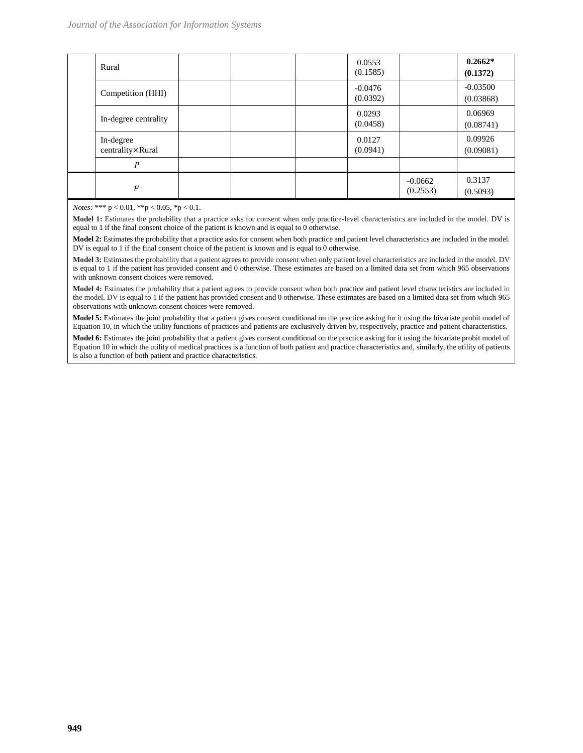|  | Rural                         |  | 0.0553<br>(0.1585)    |                       | $0.2662*$<br>(0.1372)   |
|--|-------------------------------|--|-----------------------|-----------------------|-------------------------|
|  | Competition (HHI)             |  | $-0.0476$<br>(0.0392) |                       | $-0.03500$<br>(0.03868) |
|  | In-degree centrality          |  | 0.0293<br>(0.0458)    |                       | 0.06969<br>(0.08741)    |
|  | In-degree<br>centrality×Rural |  | 0.0127<br>(0.0941)    |                       | 0.09926<br>(0.09081)    |
|  | P                             |  |                       |                       |                         |
|  | ρ                             |  |                       | $-0.0662$<br>(0.2553) | 0.3137<br>(0.5093)      |

*Notes:* \*\*\* p < 0.01, \*\*p < 0.05, \*p < 0.1.

**Model 1:** Estimates the probability that a practice asks for consent when only practice-level characteristics are included in the model. DV is equal to 1 if the final consent choice of the patient is known and is equal to 0 otherwise.

**Model 2:** Estimates the probability that a practice asks for consent when both practice and patient level characteristics are included in the model. DV is equal to 1 if the final consent choice of the patient is known and is equal to 0 otherwise.

**Model 3:** Estimates the probability that a patient agrees to provide consent when only patient level characteristics are included in the model. DV is equal to 1 if the patient has provided consent and 0 otherwise. These estimates are based on a limited data set from which 965 observations with unknown consent choices were removed.

**Model 4:** Estimates the probability that a patient agrees to provide consent when both practice and patient level characteristics are included in the model. DV is equal to 1 if the patient has provided consent and 0 otherwise. These estimates are based on a limited data set from which 965 observations with unknown consent choices were removed.

**Model 5:** Estimates the joint probability that a patient gives consent conditional on the practice asking for it using the bivariate probit model of Equation 10, in which the utility functions of practices and patients are exclusively driven by, respectively, practice and patient characteristics.

**Model 6:** Estimates the joint probability that a patient gives consent conditional on the practice asking for it using the bivariate probit model of Equation 10 in which the utility of medical practices is a function of both patient and practice characteristics and, similarly, the utility of patients is also a function of both patient and practice characteristics.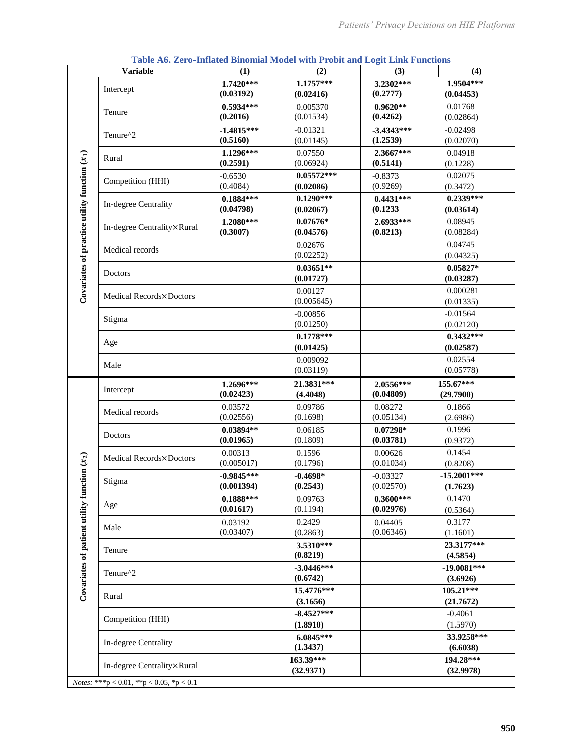|                                                 | <b>Variable</b>                                                                   | (1)          | (2)          | (3)          | (4)           |
|-------------------------------------------------|-----------------------------------------------------------------------------------|--------------|--------------|--------------|---------------|
|                                                 |                                                                                   | $1.7420***$  | 1.1757***    | 3.2302***    | 1.9504***     |
|                                                 | Intercept                                                                         | (0.03192)    | (0.02416)    | (0.2777)     | (0.04453)     |
|                                                 | Tenure                                                                            | $0.5934***$  | 0.005370     | $0.9620**$   | 0.01768       |
|                                                 |                                                                                   | (0.2016)     | (0.01534)    | (0.4262)     | (0.02864)     |
|                                                 | Tenure <sup>^2</sup>                                                              | $-1.4815***$ | $-0.01321$   | $-3.4343***$ | $-0.02498$    |
|                                                 |                                                                                   | (0.5160)     | (0.01145)    | (1.2539)     | (0.02070)     |
|                                                 | Rural                                                                             | 1.1296***    | 0.07550      | 2.3667***    | 0.04918       |
|                                                 |                                                                                   | (0.2591)     | (0.06924)    | (0.5141)     | (0.1228)      |
|                                                 | Competition (HHI)                                                                 | $-0.6530$    | $0.05572***$ | $-0.8373$    | 0.02075       |
| Covariates of practice utility function $(x_1)$ |                                                                                   | (0.4084)     | (0.02086)    | (0.9269)     | (0.3472)      |
|                                                 | In-degree Centrality                                                              | $0.1884***$  | $0.1290***$  | $0.4431***$  | $0.2339***$   |
|                                                 |                                                                                   | (0.04798)    | (0.02067)    | (0.1233)     | (0.03614)     |
|                                                 | In-degree Centrality×Rural                                                        | $1.2080***$  | $0.07676*$   | 2.6933***    | 0.08945       |
|                                                 |                                                                                   | (0.3007)     | (0.04576)    | (0.8213)     | (0.08284)     |
|                                                 | Medical records                                                                   |              | 0.02676      |              | 0.04745       |
|                                                 |                                                                                   |              | (0.02252)    |              | (0.04325)     |
|                                                 | Doctors                                                                           |              | $0.03651**$  |              | $0.05827*$    |
|                                                 |                                                                                   |              | (0.01727)    |              | (0.03287)     |
|                                                 | Medical Records×Doctors                                                           |              | 0.00127      |              | 0.000281      |
|                                                 |                                                                                   |              | (0.005645)   |              | (0.01335)     |
|                                                 | Stigma                                                                            |              | $-0.00856$   |              | $-0.01564$    |
|                                                 |                                                                                   |              | (0.01250)    |              | (0.02120)     |
|                                                 |                                                                                   |              | $0.1778***$  |              | $0.3432***$   |
|                                                 | Age                                                                               |              | (0.01425)    |              | (0.02587)     |
|                                                 | Male                                                                              |              | 0.009092     |              | 0.02554       |
|                                                 |                                                                                   |              | (0.03119)    |              | (0.05778)     |
|                                                 |                                                                                   |              |              |              |               |
|                                                 |                                                                                   | 1.2696***    | 21.3831***   | 2.0556***    | 155.67***     |
|                                                 | Intercept                                                                         | (0.02423)    | (4.4048)     | (0.04809)    | (29.7900)     |
|                                                 |                                                                                   | 0.03572      | 0.09786      | 0.08272      | 0.1866        |
|                                                 | Medical records                                                                   | (0.02556)    | (0.1698)     | (0.05134)    | (2.6986)      |
|                                                 |                                                                                   | $0.03894**$  | 0.06185      | $0.07298*$   | 0.1996        |
|                                                 | Doctors                                                                           | (0.01965)    | (0.1809)     | (0.03781)    | (0.9372)      |
|                                                 |                                                                                   | 0.00313      | 0.1596       | 0.00626      | 0.1454        |
|                                                 | Medical Records×Doctors                                                           | (0.005017)   | (0.1796)     | (0.01034)    | (0.8208)      |
|                                                 |                                                                                   | $-0.9845***$ | $-0.4698*$   | $-0.03327$   | $-15.2001***$ |
| nction $(x_2)$                                  | Stigma                                                                            | (0.001394)   | (0.2543)     | (0.02570)    | (1.7623)      |
|                                                 |                                                                                   | $0.1888***$  | 0.09763      | $0.3600***$  | 0.1470        |
|                                                 | Age                                                                               | (0.01617)    | (0.1194)     | (0.02976)    | (0.5364)      |
|                                                 |                                                                                   | 0.03192      | 0.2429       | 0.04405      | 0.3177        |
|                                                 | Male                                                                              | (0.03407)    | (0.2863)     | (0.06346)    | (1.1601)      |
|                                                 |                                                                                   |              | 3.5310***    |              | 23.3177***    |
|                                                 | Tenure                                                                            |              | (0.8219)     |              | (4.5854)      |
|                                                 |                                                                                   |              | $-3.0446***$ |              | $-19.0081***$ |
|                                                 | Tenure^2                                                                          |              | (0.6742)     |              | (3.6926)      |
|                                                 |                                                                                   |              | 15.4776***   |              | 105.21***     |
| Covariates of patient utility fu                | Rural                                                                             |              | (3.1656)     |              | (21.7672)     |
|                                                 |                                                                                   |              | $-8.4527***$ |              | $-0.4061$     |
|                                                 | Competition (HHI)                                                                 |              | (1.8910)     |              | (1.5970)      |
|                                                 |                                                                                   |              | 6.0845***    |              | 33.9258***    |
|                                                 | In-degree Centrality                                                              |              | (1.3437)     |              | (6.6038)      |
|                                                 |                                                                                   |              | 163.39***    |              | 194.28***     |
|                                                 | In-degree Centrality×Rural<br>Notes: *** $p < 0.01$ , ** $p < 0.05$ , * $p < 0.1$ |              | (32.9371)    |              | (32.9978)     |

**Table A6. Zero-Inflated Binomial Model with Probit and Logit Link Functions**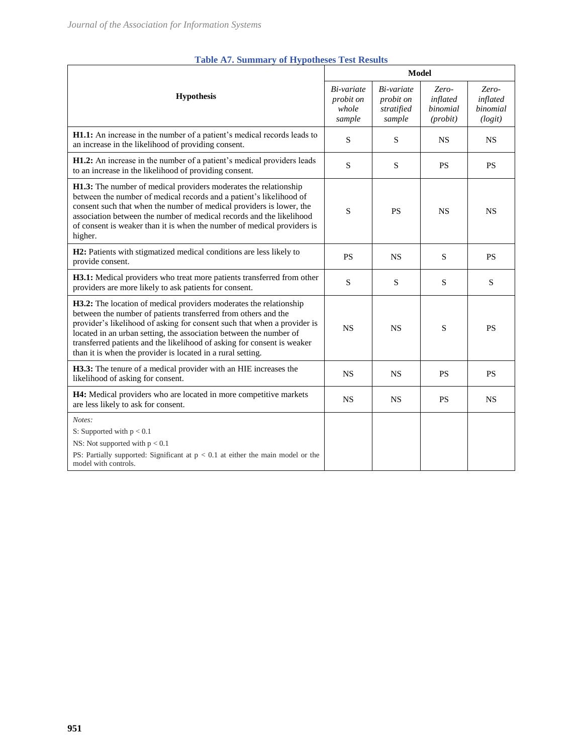|                                                                                                                                                                                                                                                                                                                                                                                                                                  | <b>Model</b>                               |                                                 |                                           |                                          |  |  |
|----------------------------------------------------------------------------------------------------------------------------------------------------------------------------------------------------------------------------------------------------------------------------------------------------------------------------------------------------------------------------------------------------------------------------------|--------------------------------------------|-------------------------------------------------|-------------------------------------------|------------------------------------------|--|--|
| <b>Hypothesis</b>                                                                                                                                                                                                                                                                                                                                                                                                                | Bi-variate<br>probit on<br>whole<br>sample | Bi-variate<br>probit on<br>stratified<br>sample | Zero-<br>inflated<br>binomial<br>(probit) | Zero-<br>inflated<br>binomial<br>(logit) |  |  |
| H1.1: An increase in the number of a patient's medical records leads to<br>an increase in the likelihood of providing consent.                                                                                                                                                                                                                                                                                                   | S                                          | S                                               | <b>NS</b>                                 | <b>NS</b>                                |  |  |
| H1.2: An increase in the number of a patient's medical providers leads<br>to an increase in the likelihood of providing consent.                                                                                                                                                                                                                                                                                                 | S                                          | S                                               | <b>PS</b>                                 | <b>PS</b>                                |  |  |
| <b>H1.3:</b> The number of medical providers moderates the relationship<br>between the number of medical records and a patient's likelihood of<br>consent such that when the number of medical providers is lower, the<br>association between the number of medical records and the likelihood<br>of consent is weaker than it is when the number of medical providers is<br>higher.                                             | S                                          | <b>PS</b>                                       | <b>NS</b>                                 | <b>NS</b>                                |  |  |
| H2: Patients with stigmatized medical conditions are less likely to<br>provide consent.                                                                                                                                                                                                                                                                                                                                          | <b>PS</b>                                  | <b>NS</b>                                       | S                                         | <b>PS</b>                                |  |  |
| H3.1: Medical providers who treat more patients transferred from other<br>providers are more likely to ask patients for consent.                                                                                                                                                                                                                                                                                                 | S                                          | S                                               | S                                         | S                                        |  |  |
| H3.2: The location of medical providers moderates the relationship<br>between the number of patients transferred from others and the<br>provider's likelihood of asking for consent such that when a provider is<br>located in an urban setting, the association between the number of<br>transferred patients and the likelihood of asking for consent is weaker<br>than it is when the provider is located in a rural setting. | <b>NS</b>                                  | <b>NS</b>                                       | S                                         | <b>PS</b>                                |  |  |
| H3.3: The tenure of a medical provider with an HIE increases the<br>likelihood of asking for consent.                                                                                                                                                                                                                                                                                                                            | <b>NS</b>                                  | <b>NS</b>                                       | <b>PS</b>                                 | <b>PS</b>                                |  |  |
| H4: Medical providers who are located in more competitive markets<br>are less likely to ask for consent.                                                                                                                                                                                                                                                                                                                         | <b>NS</b>                                  | <b>NS</b>                                       | <b>PS</b>                                 | <b>NS</b>                                |  |  |
| Notes:<br>S: Supported with $p < 0.1$<br>NS: Not supported with $p < 0.1$<br>PS: Partially supported: Significant at $p < 0.1$ at either the main model or the<br>model with controls.                                                                                                                                                                                                                                           |                                            |                                                 |                                           |                                          |  |  |

## **Table A7. Summary of Hypotheses Test Results**